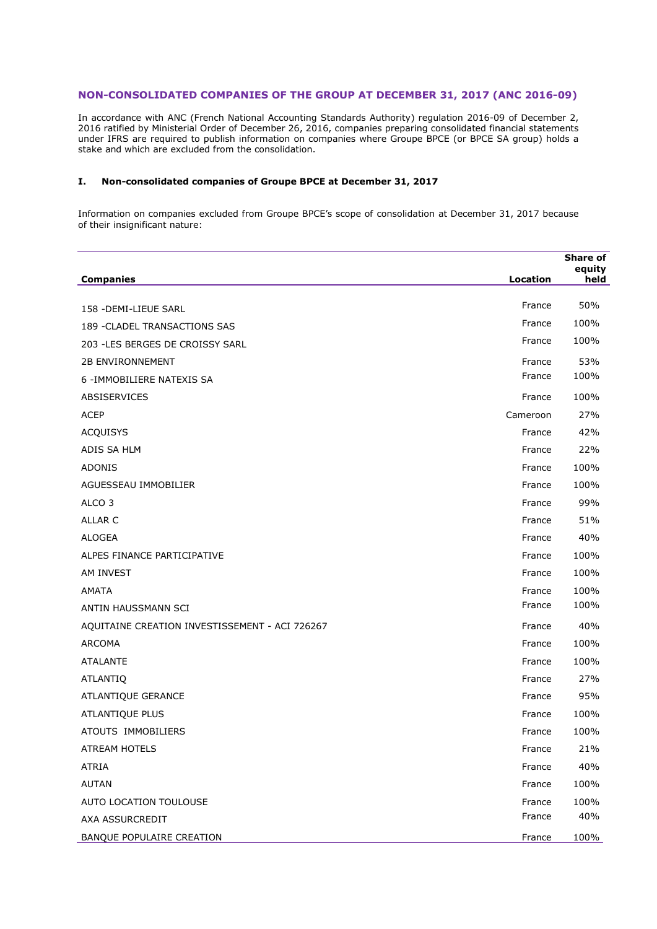## **NON-CONSOLIDATED COMPANIES OF THE GROUP AT DECEMBER 31, 2017 (ANC 2016-09)**

In accordance with ANC (French National Accounting Standards Authority) regulation 2016-09 of December 2, 2016 ratified by Ministerial Order of December 26, 2016, companies preparing consolidated financial statements under IFRS are required to publish information on companies where Groupe BPCE (or BPCE SA group) holds a stake and which are excluded from the consolidation.

## **I. Non-consolidated companies of Groupe BPCE at December 31, 2017**

Information on companies excluded from Groupe BPCE's scope of consolidation at December 31, 2017 because of their insignificant nature:

|                                                |          | <b>Share of</b><br>equity |
|------------------------------------------------|----------|---------------------------|
| <b>Companies</b>                               | Location | held                      |
| 158 - DEMI-LIEUE SARL                          | France   | 50%                       |
| 189 - CLADEL TRANSACTIONS SAS                  | France   | 100%                      |
| 203 - LES BERGES DE CROISSY SARL               | France   | 100%                      |
| <b>2B ENVIRONNEMENT</b>                        | France   | 53%                       |
| 6 - IMMOBILIERE NATEXIS SA                     | France   | 100%                      |
| ABSISERVICES                                   | France   | 100%                      |
| <b>ACEP</b>                                    | Cameroon | 27%                       |
| <b>ACQUISYS</b>                                | France   | 42%                       |
| ADIS SA HLM                                    | France   | 22%                       |
| <b>ADONIS</b>                                  | France   | 100%                      |
| AGUESSEAU IMMOBILIER                           | France   | 100%                      |
| ALCO <sub>3</sub>                              | France   | 99%                       |
| <b>ALLAR C</b>                                 | France   | 51%                       |
| <b>ALOGEA</b>                                  | France   | 40%                       |
| ALPES FINANCE PARTICIPATIVE                    | France   | 100%                      |
| AM INVEST                                      | France   | 100%                      |
| <b>AMATA</b>                                   | France   | 100%                      |
| ANTIN HAUSSMANN SCI                            | France   | 100%                      |
| AQUITAINE CREATION INVESTISSEMENT - ACI 726267 | France   | 40%                       |
| <b>ARCOMA</b>                                  | France   | 100%                      |
| <b>ATALANTE</b>                                | France   | 100%                      |
| <b>ATLANTIQ</b>                                | France   | 27%                       |
| ATLANTIQUE GERANCE                             | France   | 95%                       |
| ATLANTIQUE PLUS                                | France   | 100%                      |
| ATOUTS IMMOBILIERS                             | France   | 100%                      |
| ATREAM HOTELS                                  | France   | 21%                       |
| <b>ATRIA</b>                                   | France   | 40%                       |
| <b>AUTAN</b>                                   | France   | 100%                      |
| AUTO LOCATION TOULOUSE                         | France   | 100%                      |
| AXA ASSURCREDIT                                | France   | 40%                       |
| BANQUE POPULAIRE CREATION                      | France   | 100%                      |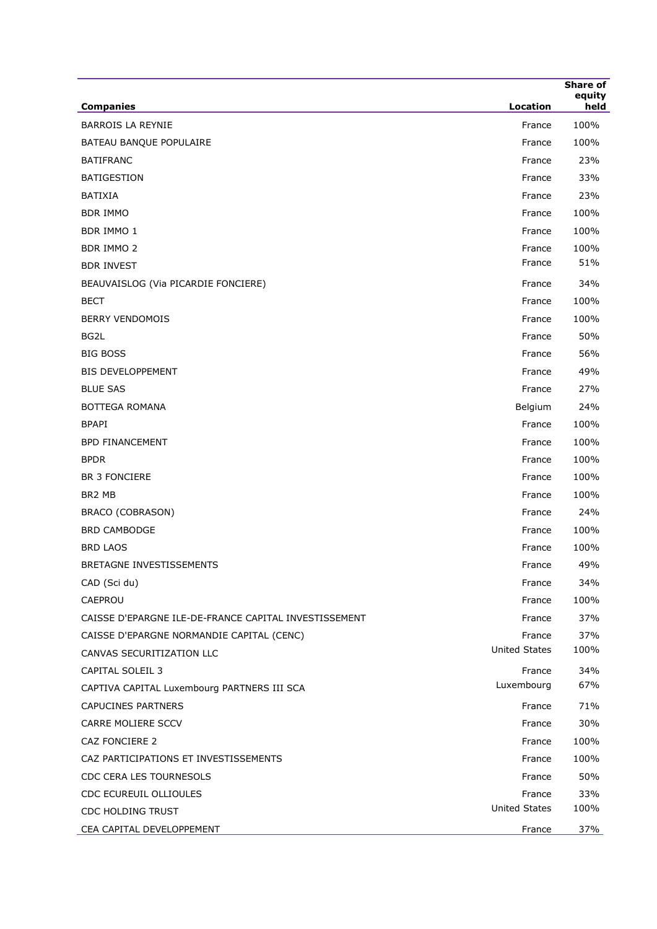| <b>Companies</b>                                      | <b>Location</b>      | <b>Share of</b><br>equity<br>held |
|-------------------------------------------------------|----------------------|-----------------------------------|
| <b>BARROIS LA REYNIE</b>                              | France               | 100%                              |
| BATEAU BANQUE POPULAIRE                               | France               | 100%                              |
| <b>BATIFRANC</b>                                      | France               | 23%                               |
| <b>BATIGESTION</b>                                    | France               | 33%                               |
| <b>BATIXIA</b>                                        | France               | 23%                               |
| <b>BDR IMMO</b>                                       | France               | 100%                              |
| <b>BDR IMMO 1</b>                                     | France               | 100%                              |
| <b>BDR IMMO 2</b>                                     | France               | 100%                              |
| <b>BDR INVEST</b>                                     | France               | 51%                               |
|                                                       |                      | 34%                               |
| BEAUVAISLOG (Via PICARDIE FONCIERE)                   | France               |                                   |
| <b>BECT</b>                                           | France               | 100%                              |
| <b>BERRY VENDOMOIS</b>                                | France               | 100%                              |
| BG2L<br><b>BIG BOSS</b>                               | France               | 50%                               |
|                                                       | France               | 56%                               |
| <b>BIS DEVELOPPEMENT</b>                              | France               | 49%                               |
| <b>BLUE SAS</b>                                       | France               | 27%                               |
| <b>BOTTEGA ROMANA</b>                                 | Belgium              | 24%                               |
| <b>BPAPI</b>                                          | France               | 100%                              |
| <b>BPD FINANCEMENT</b>                                | France               | 100%                              |
| <b>BPDR</b>                                           | France               | 100%                              |
| <b>BR 3 FONCIERE</b>                                  | France               | 100%                              |
| BR2 MB                                                | France               | 100%                              |
| BRACO (COBRASON)                                      | France               | 24%                               |
| <b>BRD CAMBODGE</b>                                   | France               | 100%                              |
| <b>BRD LAOS</b>                                       | France               | 100%                              |
| BRETAGNE INVESTISSEMENTS                              | France               | 49%                               |
| CAD (Sci du)                                          | France               | 34%                               |
| CAEPROU                                               | France               | 100%                              |
| CAISSE D'EPARGNE ILE-DE-FRANCE CAPITAL INVESTISSEMENT | France               | 37%                               |
| CAISSE D'EPARGNE NORMANDIE CAPITAL (CENC)             | France               | 37%                               |
| CANVAS SECURITIZATION LLC                             | <b>United States</b> | 100%                              |
| <b>CAPITAL SOLEIL 3</b>                               | France               | 34%                               |
| CAPTIVA CAPITAL Luxembourg PARTNERS III SCA           | Luxembourg           | 67%                               |
| CAPUCINES PARTNERS                                    | France               | 71%                               |
| CARRE MOLIERE SCCV                                    | France               | 30%                               |
| CAZ FONCIERE 2                                        | France               | 100%                              |
| CAZ PARTICIPATIONS ET INVESTISSEMENTS                 | France               | 100%                              |
| CDC CERA LES TOURNESOLS                               | France               | 50%                               |
| CDC ECUREUIL OLLIOULES                                | France               | 33%                               |
| CDC HOLDING TRUST                                     | <b>United States</b> | 100%                              |
| CEA CAPITAL DEVELOPPEMENT                             | France               | 37%                               |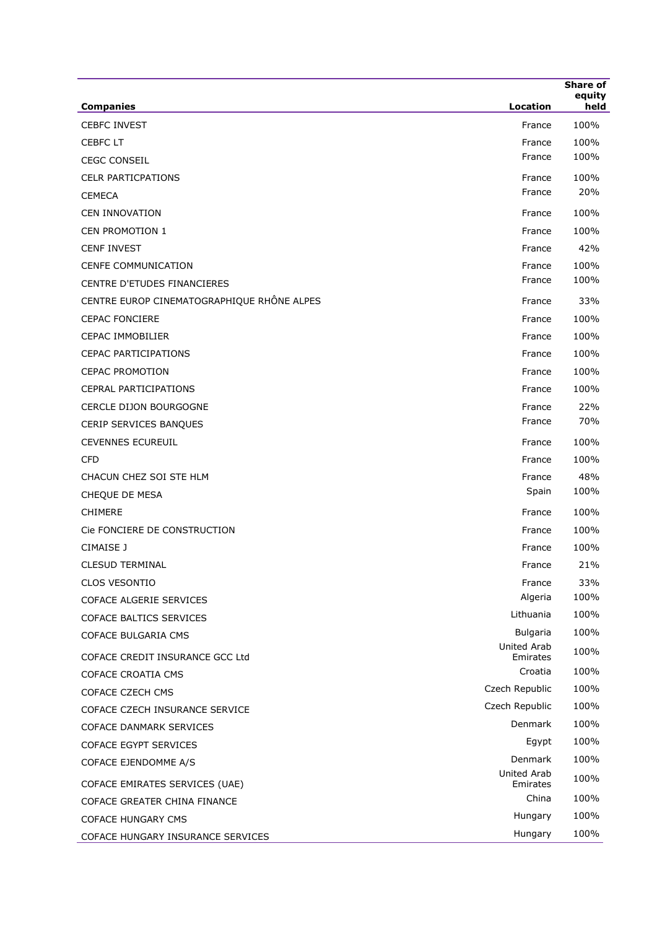|                                            |                                | <b>Share of</b><br>equity |
|--------------------------------------------|--------------------------------|---------------------------|
| <b>Companies</b>                           | Location                       | held                      |
| <b>CEBFC INVEST</b>                        | France                         | 100%                      |
| <b>CEBFC LT</b>                            | France<br>France               | 100%<br>100%              |
| <b>CEGC CONSEIL</b>                        |                                |                           |
| <b>CELR PARTICPATIONS</b>                  | France<br>France               | 100%<br>20%               |
| <b>CEMECA</b>                              |                                |                           |
| <b>CEN INNOVATION</b>                      | France                         | 100%                      |
| <b>CEN PROMOTION 1</b>                     | France                         | 100%                      |
| <b>CENF INVEST</b>                         | France                         | 42%                       |
| CENFE COMMUNICATION                        | France                         | 100%                      |
| CENTRE D'ETUDES FINANCIERES                | France                         | 100%                      |
| CENTRE EUROP CINEMATOGRAPHIQUE RHÔNE ALPES | France                         | 33%                       |
| <b>CEPAC FONCIERE</b>                      | France                         | 100%                      |
| <b>CEPAC IMMOBILIER</b>                    | France                         | 100%                      |
| <b>CEPAC PARTICIPATIONS</b>                | France                         | 100%                      |
| <b>CEPAC PROMOTION</b>                     | France                         | 100%                      |
| <b>CEPRAL PARTICIPATIONS</b>               | France                         | 100%                      |
| CERCLE DIJON BOURGOGNE                     | France                         | 22%                       |
| CERIP SERVICES BANQUES                     | France                         | 70%                       |
| <b>CEVENNES ECUREUIL</b>                   | France                         | 100%                      |
| <b>CFD</b>                                 | France                         | 100%                      |
| CHACUN CHEZ SOI STE HLM                    | France                         | 48%                       |
| CHEQUE DE MESA                             | Spain                          | 100%                      |
| <b>CHIMERE</b>                             | France                         | 100%                      |
| Cie FONCIERE DE CONSTRUCTION               | France                         | 100%                      |
| CIMAISE J                                  | France                         | 100%                      |
| <b>CLESUD TERMINAL</b>                     | France                         | 21%                       |
| <b>CLOS VESONTIO</b>                       | France                         | 33%                       |
| COFACE ALGERIE SERVICES                    | Algeria                        | 100%                      |
| COFACE BALTICS SERVICES                    | Lithuania                      | 100%                      |
| COFACE BULGARIA CMS                        | <b>Bulgaria</b>                | 100%                      |
| COFACE CREDIT INSURANCE GCC Ltd            | <b>United Arab</b><br>Emirates | 100%                      |
| COFACE CROATIA CMS                         | Croatia                        | 100%                      |
| COFACE CZECH CMS                           | Czech Republic                 | 100%                      |
| COFACE CZECH INSURANCE SERVICE             | Czech Republic                 | 100%                      |
| <b>COFACE DANMARK SERVICES</b>             | Denmark                        | 100%                      |
| COFACE EGYPT SERVICES                      | Egypt                          | 100%                      |
| COFACE EJENDOMME A/S                       | Denmark                        | 100%                      |
| COFACE EMIRATES SERVICES (UAE)             | <b>United Arab</b><br>Emirates | 100%                      |
| COFACE GREATER CHINA FINANCE               | China                          | 100%                      |
| <b>COFACE HUNGARY CMS</b>                  | Hungary                        | 100%                      |
| COFACE HUNGARY INSURANCE SERVICES          | Hungary                        | 100%                      |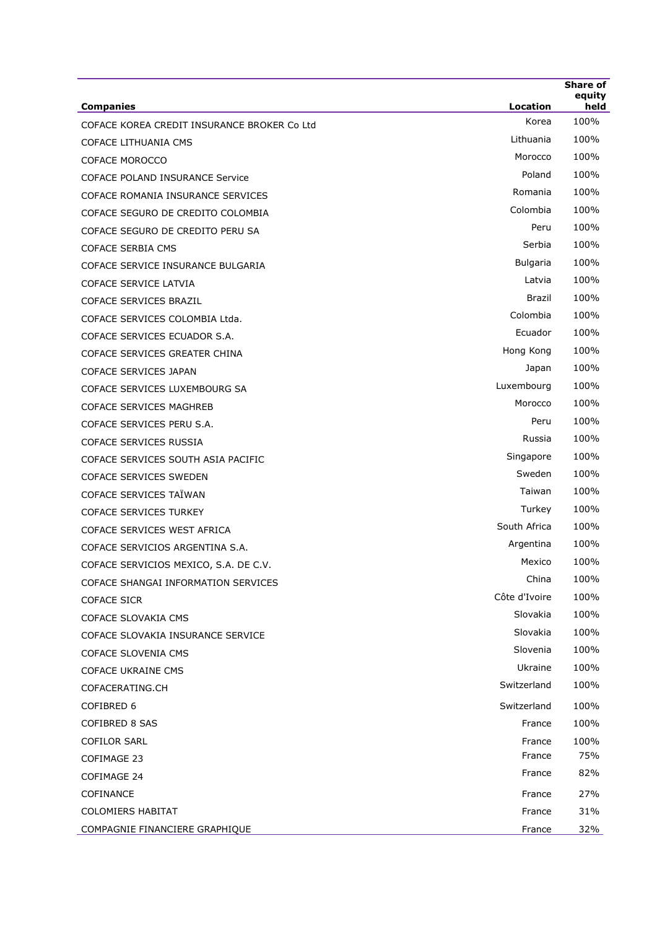| Korea<br>COFACE KOREA CREDIT INSURANCE BROKER Co Ltd<br>Lithuania<br>COFACE LITHUANIA CMS<br>Morocco<br><b>COFACE MOROCCO</b><br>Poland<br>COFACE POLAND INSURANCE Service<br>Romania<br>COFACE ROMANIA INSURANCE SERVICES<br>Colombia<br>COFACE SEGURO DE CREDITO COLOMBIA<br>Peru<br>COFACE SEGURO DE CREDITO PERU SA<br>Serbia<br><b>COFACE SERBIA CMS</b><br>Bulgaria<br>COFACE SERVICE INSURANCE BULGARIA<br>Latvia<br>COFACE SERVICE LATVIA<br>Brazil<br>COFACE SERVICES BRAZIL<br>Colombia<br>COFACE SERVICES COLOMBIA Ltda.<br>Ecuador<br>COFACE SERVICES ECUADOR S.A.<br>Hong Kong<br>COFACE SERVICES GREATER CHINA<br>Japan<br>COFACE SERVICES JAPAN<br>Luxembourg<br>COFACE SERVICES LUXEMBOURG SA<br>Morocco<br><b>COFACE SERVICES MAGHREB</b><br>Peru<br>COFACE SERVICES PERU S.A.<br>Russia<br>COFACE SERVICES RUSSIA<br>Singapore<br>COFACE SERVICES SOUTH ASIA PACIFIC<br>Sweden<br><b>COFACE SERVICES SWEDEN</b><br>Taiwan<br>COFACE SERVICES TAÏWAN<br>Turkey<br><b>COFACE SERVICES TURKEY</b><br>South Africa<br>COFACE SERVICES WEST AFRICA<br>Argentina<br>COFACE SERVICIOS ARGENTINA S.A.<br>Mexico<br>COFACE SERVICIOS MEXICO, S.A. DE C.V.<br>China<br>COFACE SHANGAI INFORMATION SERVICES<br>Côte d'Ivoire<br><b>COFACE SICR</b><br>Slovakia<br>COFACE SLOVAKIA CMS<br>Slovakia<br>COFACE SLOVAKIA INSURANCE SERVICE<br>Slovenia<br>COFACE SLOVENIA CMS<br>Ukraine<br><b>COFACE UKRAINE CMS</b><br>Switzerland<br>COFACERATING.CH<br>COFIBRED 6<br>Switzerland<br><b>COFIBRED 8 SAS</b><br>France<br><b>COFILOR SARL</b><br>France<br>France<br>COFIMAGE 23<br>France<br>COFIMAGE 24<br>COFINANCE<br>France | <b>Share of</b><br>equity<br>held | Location | <b>Companies</b> |
|--------------------------------------------------------------------------------------------------------------------------------------------------------------------------------------------------------------------------------------------------------------------------------------------------------------------------------------------------------------------------------------------------------------------------------------------------------------------------------------------------------------------------------------------------------------------------------------------------------------------------------------------------------------------------------------------------------------------------------------------------------------------------------------------------------------------------------------------------------------------------------------------------------------------------------------------------------------------------------------------------------------------------------------------------------------------------------------------------------------------------------------------------------------------------------------------------------------------------------------------------------------------------------------------------------------------------------------------------------------------------------------------------------------------------------------------------------------------------------------------------------------------------------------------------------------------------------------------------------------------------------------|-----------------------------------|----------|------------------|
|                                                                                                                                                                                                                                                                                                                                                                                                                                                                                                                                                                                                                                                                                                                                                                                                                                                                                                                                                                                                                                                                                                                                                                                                                                                                                                                                                                                                                                                                                                                                                                                                                                      | 100%                              |          |                  |
|                                                                                                                                                                                                                                                                                                                                                                                                                                                                                                                                                                                                                                                                                                                                                                                                                                                                                                                                                                                                                                                                                                                                                                                                                                                                                                                                                                                                                                                                                                                                                                                                                                      | 100%                              |          |                  |
|                                                                                                                                                                                                                                                                                                                                                                                                                                                                                                                                                                                                                                                                                                                                                                                                                                                                                                                                                                                                                                                                                                                                                                                                                                                                                                                                                                                                                                                                                                                                                                                                                                      | 100%                              |          |                  |
|                                                                                                                                                                                                                                                                                                                                                                                                                                                                                                                                                                                                                                                                                                                                                                                                                                                                                                                                                                                                                                                                                                                                                                                                                                                                                                                                                                                                                                                                                                                                                                                                                                      | 100%                              |          |                  |
|                                                                                                                                                                                                                                                                                                                                                                                                                                                                                                                                                                                                                                                                                                                                                                                                                                                                                                                                                                                                                                                                                                                                                                                                                                                                                                                                                                                                                                                                                                                                                                                                                                      | 100%                              |          |                  |
|                                                                                                                                                                                                                                                                                                                                                                                                                                                                                                                                                                                                                                                                                                                                                                                                                                                                                                                                                                                                                                                                                                                                                                                                                                                                                                                                                                                                                                                                                                                                                                                                                                      | 100%                              |          |                  |
|                                                                                                                                                                                                                                                                                                                                                                                                                                                                                                                                                                                                                                                                                                                                                                                                                                                                                                                                                                                                                                                                                                                                                                                                                                                                                                                                                                                                                                                                                                                                                                                                                                      | 100%                              |          |                  |
|                                                                                                                                                                                                                                                                                                                                                                                                                                                                                                                                                                                                                                                                                                                                                                                                                                                                                                                                                                                                                                                                                                                                                                                                                                                                                                                                                                                                                                                                                                                                                                                                                                      | 100%                              |          |                  |
|                                                                                                                                                                                                                                                                                                                                                                                                                                                                                                                                                                                                                                                                                                                                                                                                                                                                                                                                                                                                                                                                                                                                                                                                                                                                                                                                                                                                                                                                                                                                                                                                                                      | 100%                              |          |                  |
|                                                                                                                                                                                                                                                                                                                                                                                                                                                                                                                                                                                                                                                                                                                                                                                                                                                                                                                                                                                                                                                                                                                                                                                                                                                                                                                                                                                                                                                                                                                                                                                                                                      | 100%                              |          |                  |
|                                                                                                                                                                                                                                                                                                                                                                                                                                                                                                                                                                                                                                                                                                                                                                                                                                                                                                                                                                                                                                                                                                                                                                                                                                                                                                                                                                                                                                                                                                                                                                                                                                      | 100%                              |          |                  |
|                                                                                                                                                                                                                                                                                                                                                                                                                                                                                                                                                                                                                                                                                                                                                                                                                                                                                                                                                                                                                                                                                                                                                                                                                                                                                                                                                                                                                                                                                                                                                                                                                                      | 100%                              |          |                  |
|                                                                                                                                                                                                                                                                                                                                                                                                                                                                                                                                                                                                                                                                                                                                                                                                                                                                                                                                                                                                                                                                                                                                                                                                                                                                                                                                                                                                                                                                                                                                                                                                                                      | 100%                              |          |                  |
|                                                                                                                                                                                                                                                                                                                                                                                                                                                                                                                                                                                                                                                                                                                                                                                                                                                                                                                                                                                                                                                                                                                                                                                                                                                                                                                                                                                                                                                                                                                                                                                                                                      | 100%                              |          |                  |
|                                                                                                                                                                                                                                                                                                                                                                                                                                                                                                                                                                                                                                                                                                                                                                                                                                                                                                                                                                                                                                                                                                                                                                                                                                                                                                                                                                                                                                                                                                                                                                                                                                      | 100%                              |          |                  |
|                                                                                                                                                                                                                                                                                                                                                                                                                                                                                                                                                                                                                                                                                                                                                                                                                                                                                                                                                                                                                                                                                                                                                                                                                                                                                                                                                                                                                                                                                                                                                                                                                                      | 100%                              |          |                  |
|                                                                                                                                                                                                                                                                                                                                                                                                                                                                                                                                                                                                                                                                                                                                                                                                                                                                                                                                                                                                                                                                                                                                                                                                                                                                                                                                                                                                                                                                                                                                                                                                                                      | 100%                              |          |                  |
|                                                                                                                                                                                                                                                                                                                                                                                                                                                                                                                                                                                                                                                                                                                                                                                                                                                                                                                                                                                                                                                                                                                                                                                                                                                                                                                                                                                                                                                                                                                                                                                                                                      | 100%                              |          |                  |
|                                                                                                                                                                                                                                                                                                                                                                                                                                                                                                                                                                                                                                                                                                                                                                                                                                                                                                                                                                                                                                                                                                                                                                                                                                                                                                                                                                                                                                                                                                                                                                                                                                      | 100%                              |          |                  |
|                                                                                                                                                                                                                                                                                                                                                                                                                                                                                                                                                                                                                                                                                                                                                                                                                                                                                                                                                                                                                                                                                                                                                                                                                                                                                                                                                                                                                                                                                                                                                                                                                                      | 100%                              |          |                  |
|                                                                                                                                                                                                                                                                                                                                                                                                                                                                                                                                                                                                                                                                                                                                                                                                                                                                                                                                                                                                                                                                                                                                                                                                                                                                                                                                                                                                                                                                                                                                                                                                                                      | 100%                              |          |                  |
|                                                                                                                                                                                                                                                                                                                                                                                                                                                                                                                                                                                                                                                                                                                                                                                                                                                                                                                                                                                                                                                                                                                                                                                                                                                                                                                                                                                                                                                                                                                                                                                                                                      | 100%                              |          |                  |
|                                                                                                                                                                                                                                                                                                                                                                                                                                                                                                                                                                                                                                                                                                                                                                                                                                                                                                                                                                                                                                                                                                                                                                                                                                                                                                                                                                                                                                                                                                                                                                                                                                      | 100%                              |          |                  |
|                                                                                                                                                                                                                                                                                                                                                                                                                                                                                                                                                                                                                                                                                                                                                                                                                                                                                                                                                                                                                                                                                                                                                                                                                                                                                                                                                                                                                                                                                                                                                                                                                                      | 100%                              |          |                  |
|                                                                                                                                                                                                                                                                                                                                                                                                                                                                                                                                                                                                                                                                                                                                                                                                                                                                                                                                                                                                                                                                                                                                                                                                                                                                                                                                                                                                                                                                                                                                                                                                                                      | 100%                              |          |                  |
|                                                                                                                                                                                                                                                                                                                                                                                                                                                                                                                                                                                                                                                                                                                                                                                                                                                                                                                                                                                                                                                                                                                                                                                                                                                                                                                                                                                                                                                                                                                                                                                                                                      | 100%                              |          |                  |
|                                                                                                                                                                                                                                                                                                                                                                                                                                                                                                                                                                                                                                                                                                                                                                                                                                                                                                                                                                                                                                                                                                                                                                                                                                                                                                                                                                                                                                                                                                                                                                                                                                      | 100%                              |          |                  |
|                                                                                                                                                                                                                                                                                                                                                                                                                                                                                                                                                                                                                                                                                                                                                                                                                                                                                                                                                                                                                                                                                                                                                                                                                                                                                                                                                                                                                                                                                                                                                                                                                                      | 100%                              |          |                  |
|                                                                                                                                                                                                                                                                                                                                                                                                                                                                                                                                                                                                                                                                                                                                                                                                                                                                                                                                                                                                                                                                                                                                                                                                                                                                                                                                                                                                                                                                                                                                                                                                                                      | 100%                              |          |                  |
|                                                                                                                                                                                                                                                                                                                                                                                                                                                                                                                                                                                                                                                                                                                                                                                                                                                                                                                                                                                                                                                                                                                                                                                                                                                                                                                                                                                                                                                                                                                                                                                                                                      | 100%                              |          |                  |
|                                                                                                                                                                                                                                                                                                                                                                                                                                                                                                                                                                                                                                                                                                                                                                                                                                                                                                                                                                                                                                                                                                                                                                                                                                                                                                                                                                                                                                                                                                                                                                                                                                      | 100%                              |          |                  |
|                                                                                                                                                                                                                                                                                                                                                                                                                                                                                                                                                                                                                                                                                                                                                                                                                                                                                                                                                                                                                                                                                                                                                                                                                                                                                                                                                                                                                                                                                                                                                                                                                                      | 100%                              |          |                  |
|                                                                                                                                                                                                                                                                                                                                                                                                                                                                                                                                                                                                                                                                                                                                                                                                                                                                                                                                                                                                                                                                                                                                                                                                                                                                                                                                                                                                                                                                                                                                                                                                                                      | 100%                              |          |                  |
|                                                                                                                                                                                                                                                                                                                                                                                                                                                                                                                                                                                                                                                                                                                                                                                                                                                                                                                                                                                                                                                                                                                                                                                                                                                                                                                                                                                                                                                                                                                                                                                                                                      |                                   |          |                  |
|                                                                                                                                                                                                                                                                                                                                                                                                                                                                                                                                                                                                                                                                                                                                                                                                                                                                                                                                                                                                                                                                                                                                                                                                                                                                                                                                                                                                                                                                                                                                                                                                                                      | 100%                              |          |                  |
|                                                                                                                                                                                                                                                                                                                                                                                                                                                                                                                                                                                                                                                                                                                                                                                                                                                                                                                                                                                                                                                                                                                                                                                                                                                                                                                                                                                                                                                                                                                                                                                                                                      | 100%                              |          |                  |
|                                                                                                                                                                                                                                                                                                                                                                                                                                                                                                                                                                                                                                                                                                                                                                                                                                                                                                                                                                                                                                                                                                                                                                                                                                                                                                                                                                                                                                                                                                                                                                                                                                      | 100%<br>75%                       |          |                  |
|                                                                                                                                                                                                                                                                                                                                                                                                                                                                                                                                                                                                                                                                                                                                                                                                                                                                                                                                                                                                                                                                                                                                                                                                                                                                                                                                                                                                                                                                                                                                                                                                                                      |                                   |          |                  |
|                                                                                                                                                                                                                                                                                                                                                                                                                                                                                                                                                                                                                                                                                                                                                                                                                                                                                                                                                                                                                                                                                                                                                                                                                                                                                                                                                                                                                                                                                                                                                                                                                                      | 82%                               |          |                  |
|                                                                                                                                                                                                                                                                                                                                                                                                                                                                                                                                                                                                                                                                                                                                                                                                                                                                                                                                                                                                                                                                                                                                                                                                                                                                                                                                                                                                                                                                                                                                                                                                                                      | 27%                               |          |                  |
| <b>COLOMIERS HABITAT</b><br>France                                                                                                                                                                                                                                                                                                                                                                                                                                                                                                                                                                                                                                                                                                                                                                                                                                                                                                                                                                                                                                                                                                                                                                                                                                                                                                                                                                                                                                                                                                                                                                                                   | 31%                               |          |                  |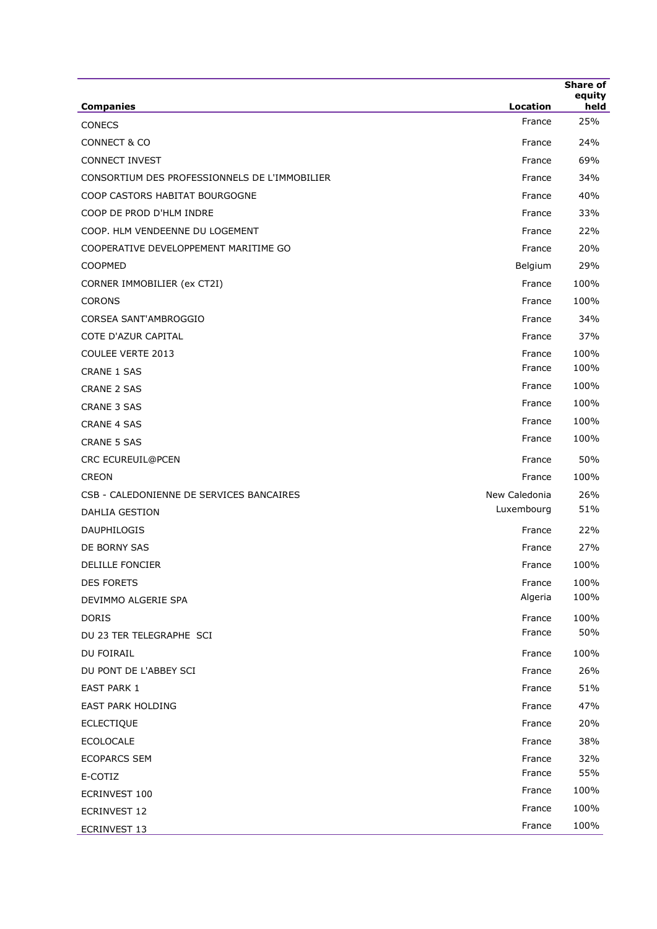|                                               |               | Share of<br>equity |
|-----------------------------------------------|---------------|--------------------|
| <b>Companies</b>                              | Location      | held               |
| <b>CONECS</b>                                 | France        | 25%                |
| <b>CONNECT &amp; CO</b>                       | France        | 24%                |
| <b>CONNECT INVEST</b>                         | France        | 69%                |
| CONSORTIUM DES PROFESSIONNELS DE L'IMMOBILIER | France        | 34%                |
| COOP CASTORS HABITAT BOURGOGNE                | France        | 40%                |
| COOP DE PROD D'HLM INDRE                      | France        | 33%                |
| COOP. HLM VENDEENNE DU LOGEMENT               | France        | 22%                |
| COOPERATIVE DEVELOPPEMENT MARITIME GO         | France        | 20%                |
| COOPMED                                       | Belgium       | 29%                |
| CORNER IMMOBILIER (ex CT2I)                   | France        | 100%               |
| <b>CORONS</b>                                 | France        | 100%               |
| CORSEA SANT'AMBROGGIO                         | France        | 34%                |
| <b>COTE D'AZUR CAPITAL</b>                    | France        | 37%                |
| <b>COULEE VERTE 2013</b>                      | France        | 100%               |
| <b>CRANE 1 SAS</b>                            | France        | 100%               |
| <b>CRANE 2 SAS</b>                            | France        | 100%               |
| <b>CRANE 3 SAS</b>                            | France        | 100%               |
| <b>CRANE 4 SAS</b>                            | France        | 100%               |
| <b>CRANE 5 SAS</b>                            | France        | 100%               |
| CRC ECUREUIL@PCEN                             | France        | 50%                |
| <b>CREON</b>                                  | France        | 100%               |
| CSB - CALEDONIENNE DE SERVICES BANCAIRES      | New Caledonia | 26%                |
| <b>DAHLIA GESTION</b>                         | Luxembourg    | 51%                |
| DAUPHILOGIS                                   | France        | 22%                |
| DE BORNY SAS                                  | France        | 27%                |
| <b>DELILLE FONCIER</b>                        | France        | 100%               |
| <b>DES FORETS</b>                             | France        | 100%               |
| DEVIMMO ALGERIE SPA                           | Algeria       | 100%               |
| <b>DORIS</b>                                  | France        | 100%               |
| DU 23 TER TELEGRAPHE SCI                      | France        | 50%                |
| DU FOIRAIL                                    | France        | 100%               |
| DU PONT DE L'ABBEY SCI                        | France        | 26%                |
| <b>EAST PARK 1</b>                            | France        | 51%                |
| <b>EAST PARK HOLDING</b>                      | France        | 47%                |
| <b>ECLECTIQUE</b>                             | France        | 20%                |
| <b>ECOLOCALE</b>                              | France        | 38%                |
| <b>ECOPARCS SEM</b>                           | France        | 32%                |
| E-COTIZ                                       | France        | 55%                |
| ECRINVEST 100                                 | France        | 100%               |
| ECRINVEST 12                                  | France        | 100%               |
| ECRINVEST 13                                  | France        | 100%               |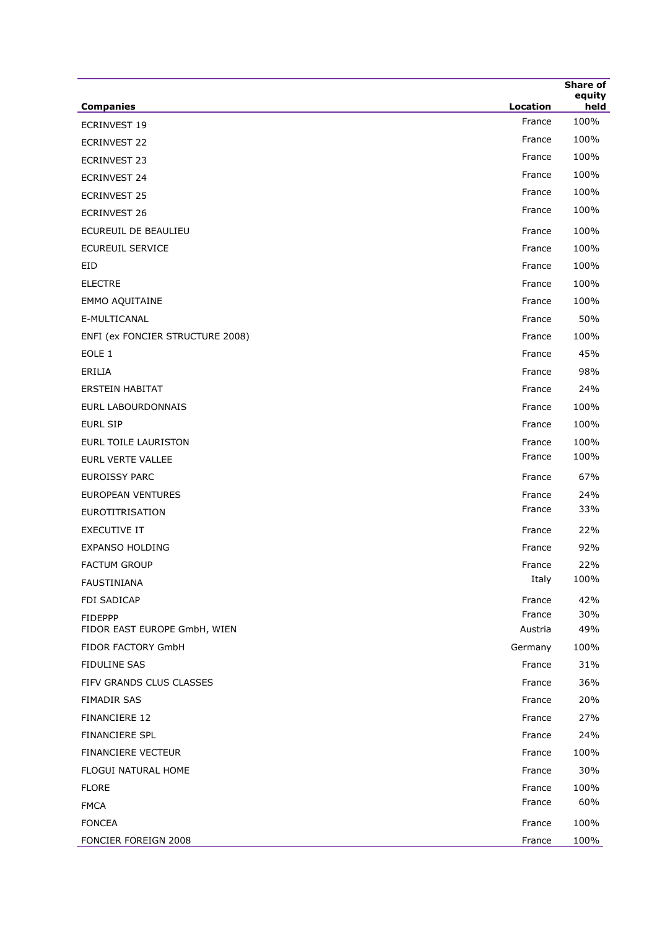|                                  |          | <b>Share of</b> |
|----------------------------------|----------|-----------------|
| <b>Companies</b>                 | Location | equity<br>held  |
| <b>ECRINVEST 19</b>              | France   | 100%            |
| <b>ECRINVEST 22</b>              | France   | 100%            |
| <b>ECRINVEST 23</b>              | France   | 100%            |
| <b>ECRINVEST 24</b>              | France   | 100%            |
| <b>ECRINVEST 25</b>              | France   | 100%            |
| <b>ECRINVEST 26</b>              | France   | 100%            |
| ECUREUIL DE BEAULIEU             | France   | 100%            |
| <b>ECUREUIL SERVICE</b>          | France   | 100%            |
| <b>EID</b>                       | France   | 100%            |
| <b>ELECTRE</b>                   | France   | 100%            |
| EMMO AQUITAINE                   | France   | 100%            |
| E-MULTICANAL                     | France   | 50%             |
| ENFI (ex FONCIER STRUCTURE 2008) | France   | 100%            |
| EOLE <sub>1</sub>                | France   | 45%             |
| ERILIA                           | France   | 98%             |
| <b>ERSTEIN HABITAT</b>           | France   | 24%             |
| EURL LABOURDONNAIS               | France   | 100%            |
| <b>EURL SIP</b>                  | France   | 100%            |
| <b>EURL TOILE LAURISTON</b>      | France   | 100%            |
| EURL VERTE VALLEE                | France   | 100%            |
| <b>EUROISSY PARC</b>             | France   | 67%             |
| <b>EUROPEAN VENTURES</b>         | France   | 24%             |
| <b>EUROTITRISATION</b>           | France   | 33%             |
| <b>EXECUTIVE IT</b>              | France   | 22%             |
| EXPANSO HOLDING                  | France   | 92%             |
| <b>FACTUM GROUP</b>              | France   | 22%             |
| <b>FAUSTINIANA</b>               | Italy    | 100%            |
| <b>FDI SADICAP</b>               | France   | 42%             |
| <b>FIDEPPP</b>                   | France   | 30%             |
| FIDOR EAST EUROPE GmbH, WIEN     | Austria  | 49%             |
| FIDOR FACTORY GmbH               | Germany  | 100%            |
| <b>FIDULINE SAS</b>              | France   | 31%             |
| FIFV GRANDS CLUS CLASSES         | France   | 36%             |
| FIMADIR SAS                      | France   | 20%             |
| FINANCIERE 12                    | France   | 27%             |
| FINANCIERE SPL                   | France   | 24%             |
| FINANCIERE VECTEUR               | France   | 100%            |
| FLOGUI NATURAL HOME              | France   | 30%             |
| <b>FLORE</b>                     | France   | 100%            |
| <b>FMCA</b>                      | France   | 60%             |
| <b>FONCEA</b>                    | France   | 100%            |
| FONCIER FOREIGN 2008             | France   | 100%            |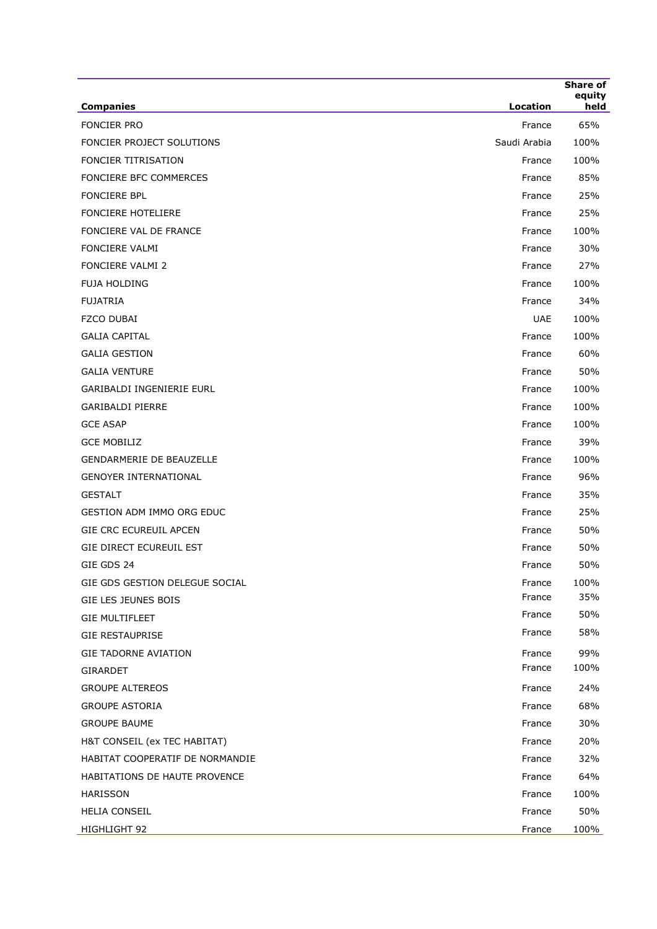| <b>Companies</b>                 | Location               | <b>Share of</b><br>equity<br>held |
|----------------------------------|------------------------|-----------------------------------|
| <b>FONCIER PRO</b>               |                        | 65%                               |
| FONCIER PROJECT SOLUTIONS        | France<br>Saudi Arabia | 100%                              |
| <b>FONCIER TITRISATION</b>       | France                 | 100%                              |
| FONCIERE BFC COMMERCES           | France                 | 85%                               |
| <b>FONCIERE BPL</b>              |                        | 25%                               |
| <b>FONCIERE HOTELIERE</b>        | France                 | 25%                               |
| FONCIERE VAL DE FRANCE           | France                 |                                   |
| <b>FONCIERE VALMI</b>            | France                 | 100%<br>30%                       |
| FONCIERE VALMI 2                 | France                 |                                   |
|                                  | France                 | 27%                               |
| <b>FUJA HOLDING</b>              | France                 | 100%                              |
| <b>FUJATRIA</b>                  | France                 | 34%                               |
| FZCO DUBAI                       | <b>UAE</b>             | 100%                              |
| <b>GALIA CAPITAL</b>             | France                 | 100%                              |
| <b>GALIA GESTION</b>             | France                 | 60%                               |
| <b>GALIA VENTURE</b>             | France                 | 50%                               |
| GARIBALDI INGENIERIE EURL        | France                 | 100%                              |
| <b>GARIBALDI PIERRE</b>          | France                 | 100%                              |
| <b>GCE ASAP</b>                  | France                 | 100%                              |
| <b>GCE MOBILIZ</b>               | France                 | 39%                               |
| <b>GENDARMERIE DE BEAUZELLE</b>  | France                 | 100%                              |
| <b>GENOYER INTERNATIONAL</b>     | France                 | 96%                               |
| <b>GESTALT</b>                   | France                 | 35%                               |
| <b>GESTION ADM IMMO ORG EDUC</b> | France                 | 25%                               |
| <b>GIE CRC ECUREUIL APCEN</b>    | France                 | 50%                               |
| GIE DIRECT ECUREUIL EST          | France                 | 50%                               |
| GIE GDS 24                       | France                 | 50%                               |
| GIE GDS GESTION DELEGUE SOCIAL   | France                 | 100%                              |
| GIE LES JEUNES BOIS              | France                 | 35%                               |
| <b>GIE MULTIFLEET</b>            | France                 | 50%                               |
| <b>GIE RESTAUPRISE</b>           | France                 | 58%                               |
| <b>GIE TADORNE AVIATION</b>      | France                 | 99%                               |
| <b>GIRARDET</b>                  | France                 | 100%                              |
| <b>GROUPE ALTEREOS</b>           | France                 | 24%                               |
| <b>GROUPE ASTORIA</b>            | France                 | 68%                               |
| <b>GROUPE BAUME</b>              | France                 | 30%                               |
| H&T CONSEIL (ex TEC HABITAT)     | France                 | 20%                               |
| HABITAT COOPERATIF DE NORMANDIE  | France                 | 32%                               |
| HABITATIONS DE HAUTE PROVENCE    | France                 | 64%                               |
| HARISSON                         | France                 | 100%                              |
| <b>HELIA CONSEIL</b>             | France                 | 50%                               |
| HIGHLIGHT 92                     | France                 | 100%                              |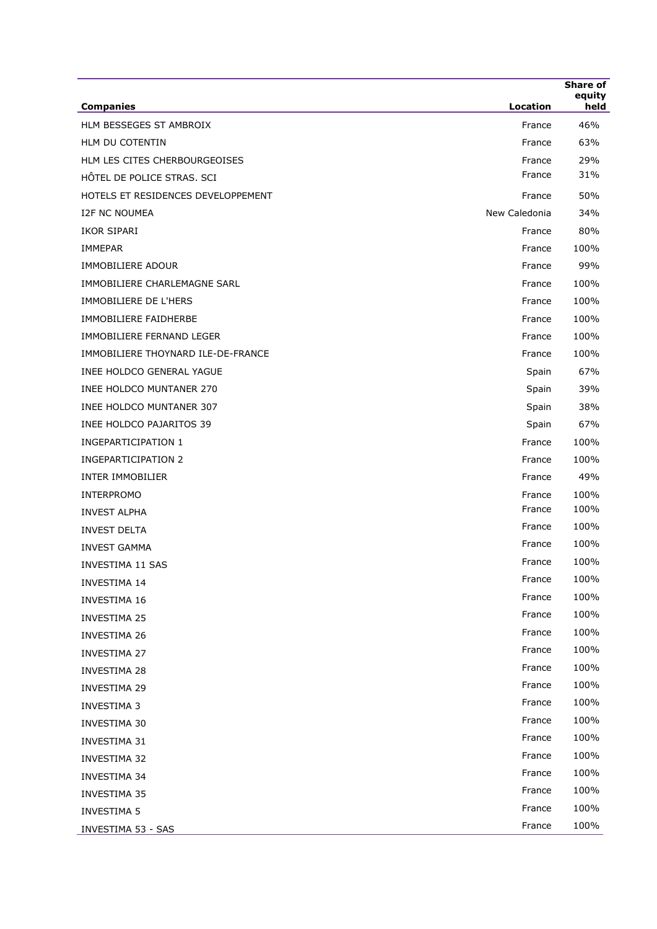| <b>Companies</b>                   | <b>Location</b> | Share of<br>equity<br>held |
|------------------------------------|-----------------|----------------------------|
| HLM BESSEGES ST AMBROIX            | France          | 46%                        |
| HLM DU COTENTIN                    | France          | 63%                        |
| HLM LES CITES CHERBOURGEOISES      | France          | 29%                        |
| HÔTEL DE POLICE STRAS. SCI         | France          | 31%                        |
| HOTELS ET RESIDENCES DEVELOPPEMENT | France          | 50%                        |
| <b>I2F NC NOUMEA</b>               | New Caledonia   | 34%                        |
| IKOR SIPARI                        | France          | 80%                        |
| <b>IMMEPAR</b>                     | France          | 100%                       |
| <b>IMMOBILIERE ADOUR</b>           | France          | 99%                        |
| IMMOBILIERE CHARLEMAGNE SARL       | France          | 100%                       |
| <b>IMMOBILIERE DE L'HERS</b>       | France          | 100%                       |
| IMMOBILIERE FAIDHERBE              | France          | 100%                       |
| IMMOBILIERE FERNAND LEGER          | France          | 100%                       |
| IMMOBILIERE THOYNARD ILE-DE-FRANCE | France          | 100%                       |
| INEE HOLDCO GENERAL YAGUE          | Spain           | 67%                        |
| <b>INEE HOLDCO MUNTANER 270</b>    | Spain           | 39%                        |
| INEE HOLDCO MUNTANER 307           | Spain           | 38%                        |
| INEE HOLDCO PAJARITOS 39           | Spain           | 67%                        |
| <b>INGEPARTICIPATION 1</b>         | France          | 100%                       |
| <b>INGEPARTICIPATION 2</b>         | France          | 100%                       |
| <b>INTER IMMOBILIER</b>            | France          | 49%                        |
| <b>INTERPROMO</b>                  | France          | 100%                       |
| <b>INVEST ALPHA</b>                | France          | 100%                       |
| <b>INVEST DELTA</b>                | France          | 100%                       |
| <b>INVEST GAMMA</b>                | France          | 100%                       |
| INVESTIMA 11 SAS                   | France          | 100%                       |
| INVESTIMA 14                       | France          | 100%                       |
| <b>INVESTIMA 16</b>                | France          | 100%                       |
| <b>INVESTIMA 25</b>                | France          | 100%                       |
| <b>INVESTIMA 26</b>                | France          | 100%                       |
| INVESTIMA 27                       | France          | 100%                       |
| <b>INVESTIMA 28</b>                | France          | 100%                       |
| <b>INVESTIMA 29</b>                | France          | 100%                       |
| <b>INVESTIMA 3</b>                 | France          | 100%                       |
| INVESTIMA 30                       | France          | 100%                       |
| INVESTIMA 31                       | France          | 100%                       |
| INVESTIMA 32                       | France          | 100%                       |
| <b>INVESTIMA 34</b>                | France          | 100%                       |
| <b>INVESTIMA 35</b>                | France          | 100%                       |
| <b>INVESTIMA 5</b>                 | France          | 100%                       |
| INVESTIMA 53 - SAS                 | France          | 100%                       |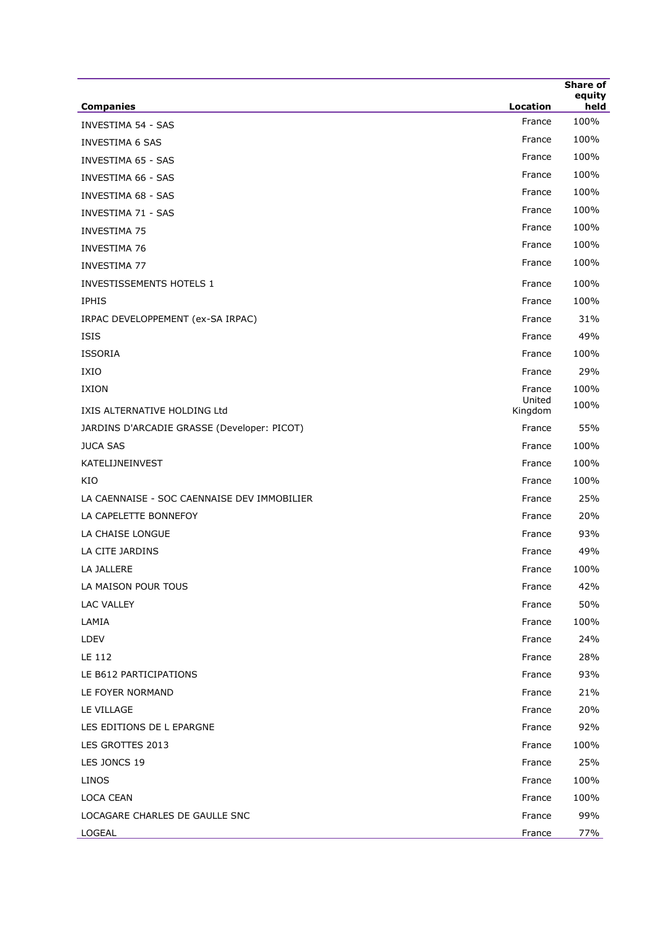|                                             |                   | Share of       |
|---------------------------------------------|-------------------|----------------|
| <b>Companies</b>                            | Location          | equity<br>held |
| <b>INVESTIMA 54 - SAS</b>                   | France            | 100%           |
| <b>INVESTIMA 6 SAS</b>                      | France            | 100%           |
| <b>INVESTIMA 65 - SAS</b>                   | France            | 100%           |
| <b>INVESTIMA 66 - SAS</b>                   | France            | 100%           |
| <b>INVESTIMA 68 - SAS</b>                   | France            | 100%           |
| <b>INVESTIMA 71 - SAS</b>                   | France            | 100%           |
| <b>INVESTIMA 75</b>                         | France            | 100%           |
| <b>INVESTIMA 76</b>                         | France            | 100%           |
| <b>INVESTIMA 77</b>                         | France            | 100%           |
| INVESTISSEMENTS HOTELS 1                    | France            | 100%           |
| <b>IPHIS</b>                                | France            | 100%           |
| IRPAC DEVELOPPEMENT (ex-SA IRPAC)           | France            | 31%            |
| <b>ISIS</b>                                 | France            | 49%            |
| <b>ISSORIA</b>                              | France            | 100%           |
| IXIO                                        | France            | 29%            |
| IXION                                       | France            | 100%           |
| IXIS ALTERNATIVE HOLDING Ltd                | United<br>Kingdom | 100%           |
| JARDINS D'ARCADIE GRASSE (Developer: PICOT) | France            | 55%            |
| <b>JUCA SAS</b>                             | France            | 100%           |
| KATELIJNEINVEST                             | France            | 100%           |
| KIO                                         | France            | 100%           |
| LA CAENNAISE - SOC CAENNAISE DEV IMMOBILIER | France            | 25%            |
| LA CAPELETTE BONNEFOY                       | France            | 20%            |
| LA CHAISE LONGUE                            | France            | 93%            |
| LA CITE JARDINS                             | France            | 49%            |
| LA JALLERE                                  | France            | 100%           |
| LA MAISON POUR TOUS                         | France            | 42%            |
| LAC VALLEY                                  | France            | 50%            |
| LAMIA                                       | France            | 100%           |
| LDEV                                        | France            | 24%            |
| LE 112                                      | France            | 28%            |
| LE B612 PARTICIPATIONS                      | France            | 93%            |
| LE FOYER NORMAND                            | France            | 21%            |
| LE VILLAGE                                  | France            | 20%            |
| LES EDITIONS DE L EPARGNE                   | France            | 92%            |
| LES GROTTES 2013                            | France            | 100%           |
| LES JONCS 19                                | France            | 25%            |
| LINOS                                       | France            | 100%           |
| LOCA CEAN                                   | France            | 100%           |
| LOCAGARE CHARLES DE GAULLE SNC              | France            | 99%            |
| LOGEAL                                      | France            | 77%            |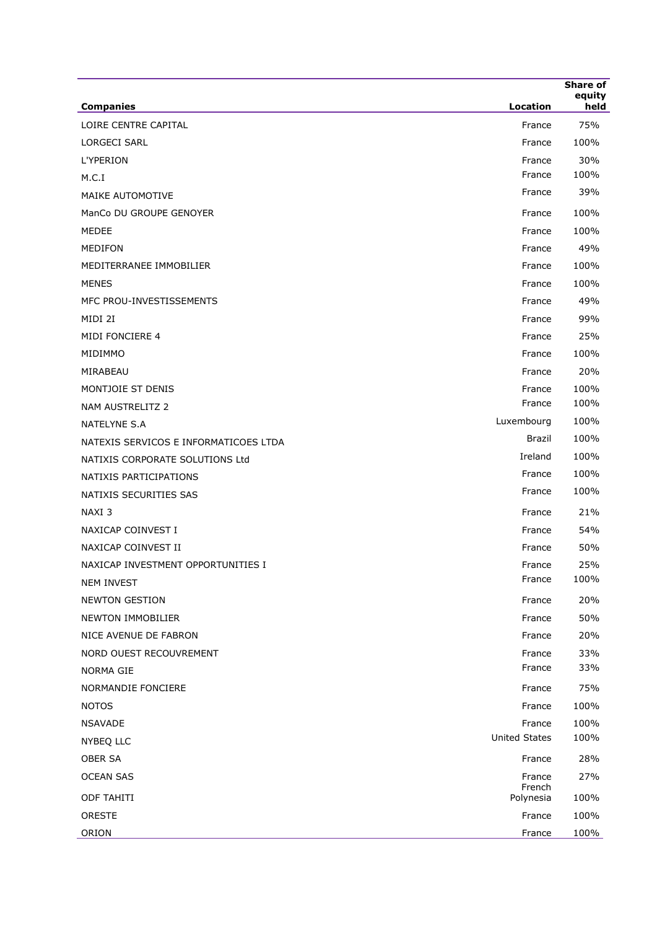|                                       | <b>Location</b>      | <b>Share of</b><br>equity<br>held |
|---------------------------------------|----------------------|-----------------------------------|
| <b>Companies</b>                      |                      |                                   |
| LOIRE CENTRE CAPITAL                  | France               | 75%                               |
| <b>LORGECI SARL</b>                   | France               | 100%                              |
| <b>L'YPERION</b>                      | France<br>France     | 30%<br>100%                       |
| M.C.I                                 | France               | 39%                               |
| MAIKE AUTOMOTIVE                      |                      |                                   |
| ManCo DU GROUPE GENOYER               | France               | 100%                              |
| MEDEE                                 | France               | 100%                              |
| <b>MEDIFON</b>                        | France               | 49%                               |
| MEDITERRANEE IMMOBILIER               | France               | 100%                              |
| MENES                                 | France               | 100%                              |
| MFC PROU-INVESTISSEMENTS              | France               | 49%                               |
| MIDI 2I                               | France               | 99%                               |
| MIDI FONCIERE 4                       | France               | 25%                               |
| MIDIMMO                               | France               | 100%                              |
| MIRABEAU                              | France               | 20%                               |
| MONTJOIE ST DENIS                     | France               | 100%                              |
| NAM AUSTRELITZ 2                      | France               | 100%                              |
| NATELYNE S.A                          | Luxembourg           | 100%                              |
| NATEXIS SERVICOS E INFORMATICOES LTDA | Brazil               | 100%                              |
| NATIXIS CORPORATE SOLUTIONS Ltd       | Ireland              | 100%                              |
| NATIXIS PARTICIPATIONS                | France               | 100%                              |
| NATIXIS SECURITIES SAS                | France               | 100%                              |
| NAXI <sub>3</sub>                     | France               | 21%                               |
| NAXICAP COINVEST I                    | France               | 54%                               |
| NAXICAP COINVEST II                   | France               | 50%                               |
| NAXICAP INVESTMENT OPPORTUNITIES I    | France               | 25%                               |
| <b>NEM INVEST</b>                     | France               | 100%                              |
| <b>NEWTON GESTION</b>                 | France               | 20%                               |
| NEWTON IMMOBILIER                     | France               | 50%                               |
| NICE AVENUE DE FABRON                 | France               | 20%                               |
| NORD OUEST RECOUVREMENT               | France               | 33%                               |
| <b>NORMA GIE</b>                      | France               | 33%                               |
| NORMANDIE FONCIERE                    | France               | 75%                               |
| <b>NOTOS</b>                          | France               | 100%                              |
| <b>NSAVADE</b>                        | France               | 100%                              |
| NYBEQ LLC                             | <b>United States</b> | 100%                              |
| OBER SA                               | France               | 28%                               |
| <b>OCEAN SAS</b>                      | France<br>French     | 27%                               |
| <b>ODF TAHITI</b>                     | Polynesia            | 100%                              |
| ORESTE                                | France               | 100%                              |
| ORION                                 | France               | 100%                              |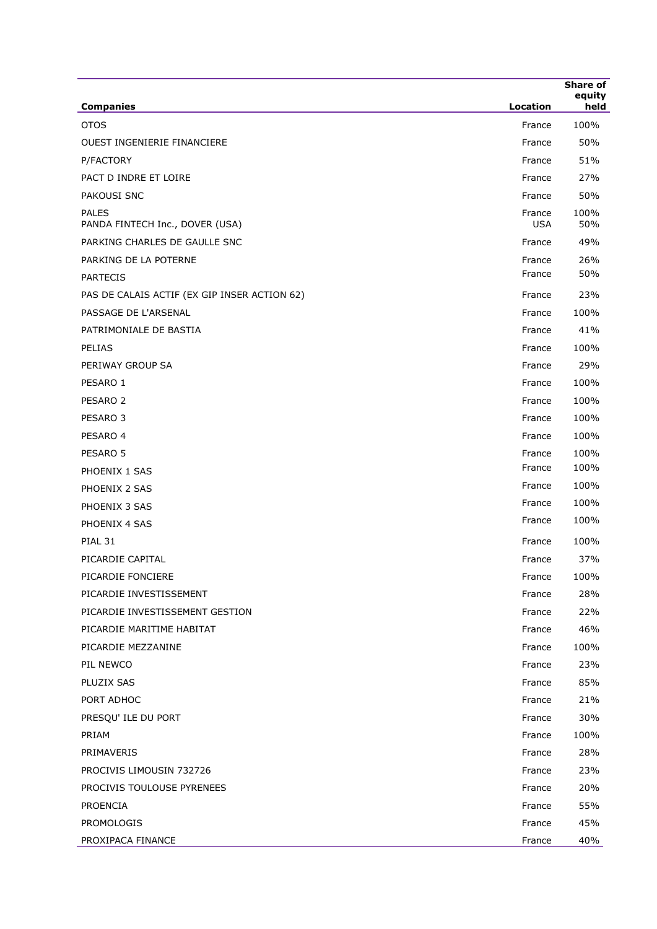| <b>Companies</b>                                | Location             | <b>Share of</b><br>equity<br>held |
|-------------------------------------------------|----------------------|-----------------------------------|
| <b>OTOS</b>                                     | France               | 100%                              |
| <b>OUEST INGENIERIE FINANCIERE</b>              | France               | 50%                               |
| P/FACTORY                                       | France               | 51%                               |
| PACT D INDRE ET LOIRE                           | France               | 27%                               |
| PAKOUSI SNC                                     | France               | 50%                               |
| <b>PALES</b><br>PANDA FINTECH Inc., DOVER (USA) | France<br><b>USA</b> | 100%<br>50%                       |
| PARKING CHARLES DE GAULLE SNC                   | France               | 49%                               |
| PARKING DE LA POTERNE                           | France               | 26%                               |
| <b>PARTECIS</b>                                 | France               | 50%                               |
| PAS DE CALAIS ACTIF (EX GIP INSER ACTION 62)    | France               | 23%                               |
| PASSAGE DE L'ARSENAL                            | France               | 100%                              |
| PATRIMONIALE DE BASTIA                          | France               | 41%                               |
| <b>PELIAS</b>                                   | France               | 100%                              |
| PERIWAY GROUP SA                                | France               | 29%                               |
| PESARO 1                                        | France               | 100%                              |
| PESARO <sub>2</sub>                             | France               | 100%                              |
| PESARO 3                                        | France               | 100%                              |
| PESARO 4                                        | France               | 100%                              |
| PESARO 5                                        | France               | 100%                              |
| PHOENIX 1 SAS                                   | France               | 100%                              |
| PHOENIX 2 SAS                                   | France               | 100%                              |
| PHOENIX 3 SAS                                   | France               | 100%                              |
| PHOENIX 4 SAS                                   | France               | 100%                              |
| PIAL 31                                         | France               | 100%                              |
| PICARDIE CAPITAL                                | France               | 37%                               |
| PICARDIE FONCIERE                               | France               | 100%                              |
| PICARDIE INVESTISSEMENT                         | France               | 28%                               |
| PICARDIE INVESTISSEMENT GESTION                 | France               | 22%                               |
| PICARDIE MARITIME HABITAT                       | France               | 46%                               |
| PICARDIE MEZZANINE                              | France               | 100%                              |
| PIL NEWCO                                       | France               | 23%                               |
| PLUZIX SAS                                      | France               | 85%                               |
| PORT ADHOC                                      | France               | 21%                               |
| PRESQU' ILE DU PORT                             | France               | 30%                               |
| PRIAM                                           | France               | 100%                              |
| PRIMAVERIS                                      | France               | 28%                               |
| PROCIVIS LIMOUSIN 732726                        | France               | 23%                               |
| PROCIVIS TOULOUSE PYRENEES                      | France               | 20%                               |
| PROENCIA                                        | France               | 55%                               |
| PROMOLOGIS                                      | France               | 45%                               |
| PROXIPACA FINANCE                               | France               | 40%                               |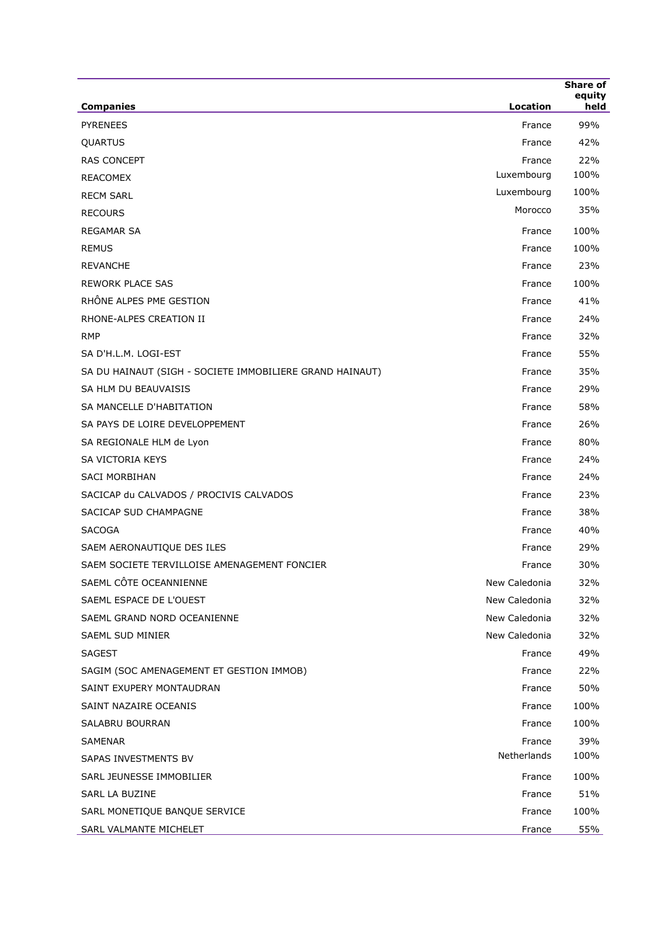| <b>Companies</b>                                         | Location      | <b>Share of</b><br>equity<br>held |
|----------------------------------------------------------|---------------|-----------------------------------|
| <b>PYRENEES</b>                                          | France        | 99%                               |
| QUARTUS                                                  | France        | 42%                               |
| <b>RAS CONCEPT</b>                                       | France        | 22%                               |
| REACOMEX                                                 | Luxembourg    | 100%                              |
| <b>RECM SARL</b>                                         | Luxembourg    | 100%                              |
| <b>RECOURS</b>                                           | Morocco       | 35%                               |
| REGAMAR SA                                               | France        | 100%                              |
| <b>REMUS</b>                                             | France        | 100%                              |
| <b>REVANCHE</b>                                          | France        | 23%                               |
| <b>REWORK PLACE SAS</b>                                  | France        | 100%                              |
| RHÔNE ALPES PME GESTION                                  | France        | 41%                               |
| RHONE-ALPES CREATION II                                  | France        | 24%                               |
| <b>RMP</b>                                               | France        | 32%                               |
| SA D'H.L.M. LOGI-EST                                     | France        | 55%                               |
| SA DU HAINAUT (SIGH - SOCIETE IMMOBILIERE GRAND HAINAUT) | France        | 35%                               |
| SA HLM DU BEAUVAISIS                                     | France        | 29%                               |
| SA MANCELLE D'HABITATION                                 | France        | 58%                               |
| SA PAYS DE LOIRE DEVELOPPEMENT                           | France        | 26%                               |
| SA REGIONALE HLM de Lyon                                 | France        | 80%                               |
| SA VICTORIA KEYS                                         | France        | 24%                               |
| <b>SACI MORBIHAN</b>                                     | France        | 24%                               |
| SACICAP du CALVADOS / PROCIVIS CALVADOS                  | France        | 23%                               |
| SACICAP SUD CHAMPAGNE                                    | France        | 38%                               |
| <b>SACOGA</b>                                            | France        | 40%                               |
| SAEM AERONAUTIQUE DES ILES                               | France        | 29%                               |
| SAEM SOCIETE TERVILLOISE AMENAGEMENT FONCIER             | France        | 30%                               |
| SAEML CÔTE OCEANNIENNE                                   | New Caledonia | 32%                               |
| SAEML ESPACE DE L'OUEST                                  | New Caledonia | 32%                               |
| SAEML GRAND NORD OCEANIENNE                              | New Caledonia | 32%                               |
| SAEML SUD MINIER                                         | New Caledonia | 32%                               |
| SAGEST                                                   | France        | 49%                               |
| SAGIM (SOC AMENAGEMENT ET GESTION IMMOB)                 | France        | 22%                               |
| SAINT EXUPERY MONTAUDRAN                                 | France        | 50%                               |
| SAINT NAZAIRE OCEANIS                                    | France        | 100%                              |
| SALABRU BOURRAN                                          | France        | 100%                              |
| SAMENAR                                                  | France        | 39%                               |
| SAPAS INVESTMENTS BV                                     | Netherlands   | 100%                              |
| SARL JEUNESSE IMMOBILIER                                 | France        | 100%                              |
| SARL LA BUZINE                                           | France        | 51%                               |
| SARL MONETIQUE BANQUE SERVICE                            | France        | 100%                              |
| SARL VALMANTE MICHELET                                   | France        | 55%                               |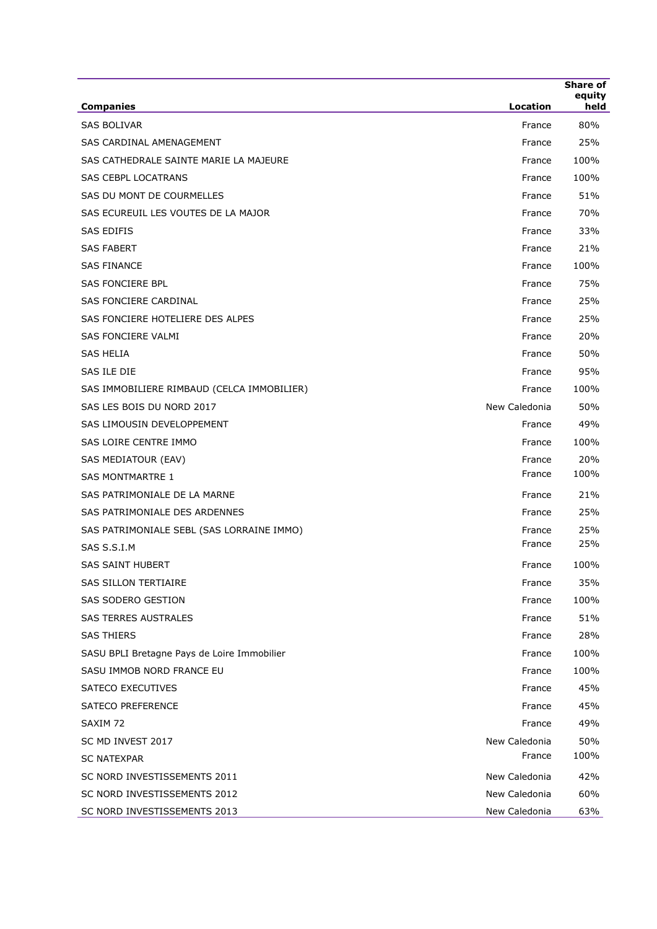| <b>Companies</b>                            | Location      | Share of<br>equity<br>held |
|---------------------------------------------|---------------|----------------------------|
| <b>SAS BOLIVAR</b>                          | France        | 80%                        |
| SAS CARDINAL AMENAGEMENT                    | France        | 25%                        |
| SAS CATHEDRALE SAINTE MARIE LA MAJEURE      | France        | 100%                       |
| <b>SAS CEBPL LOCATRANS</b>                  | France        | 100%                       |
| SAS DU MONT DE COURMELLES                   | France        | 51%                        |
| SAS ECUREUIL LES VOUTES DE LA MAJOR         | France        | 70%                        |
| SAS EDIFIS                                  | France        | 33%                        |
| <b>SAS FABERT</b>                           | France        | 21%                        |
| <b>SAS FINANCE</b>                          | France        | 100%                       |
| SAS FONCIERE BPL                            | France        | 75%                        |
| SAS FONCIERE CARDINAL                       | France        | 25%                        |
| SAS FONCIERE HOTELIERE DES ALPES            | France        | 25%                        |
| SAS FONCIERE VALMI                          | France        | 20%                        |
| <b>SAS HELIA</b>                            | France        | 50%                        |
| SAS ILE DIE                                 | France        | 95%                        |
| SAS IMMOBILIERE RIMBAUD (CELCA IMMOBILIER)  | France        | 100%                       |
| SAS LES BOIS DU NORD 2017                   | New Caledonia | 50%                        |
| SAS LIMOUSIN DEVELOPPEMENT                  | France        | 49%                        |
| SAS LOIRE CENTRE IMMO                       | France        | 100%                       |
| SAS MEDIATOUR (EAV)                         | France        | 20%                        |
| <b>SAS MONTMARTRE 1</b>                     | France        | 100%                       |
| SAS PATRIMONIALE DE LA MARNE                | France        | 21%                        |
| SAS PATRIMONIALE DES ARDENNES               | France        | 25%                        |
| SAS PATRIMONIALE SEBL (SAS LORRAINE IMMO)   | France        | 25%                        |
| SAS S.S.I.M                                 | France        | 25%                        |
| <b>SAS SAINT HUBERT</b>                     | France        | 100%                       |
| <b>SAS SILLON TERTIAIRE</b>                 | France        | 35%                        |
| SAS SODERO GESTION                          | France        | 100%                       |
| <b>SAS TERRES AUSTRALES</b>                 | France        | 51%                        |
| <b>SAS THIERS</b>                           | France        | 28%                        |
| SASU BPLI Bretagne Pays de Loire Immobilier | France        | 100%                       |
| SASU IMMOB NORD FRANCE EU                   | France        | 100%                       |
| SATECO EXECUTIVES                           | France        | 45%                        |
| <b>SATECO PREFERENCE</b>                    | France        | 45%                        |
| SAXIM 72                                    | France        | 49%                        |
| SC MD INVEST 2017                           | New Caledonia | 50%                        |
| <b>SC NATEXPAR</b>                          | France        | 100%                       |
| SC NORD INVESTISSEMENTS 2011                | New Caledonia | 42%                        |
| SC NORD INVESTISSEMENTS 2012                | New Caledonia | 60%                        |
| SC NORD INVESTISSEMENTS 2013                | New Caledonia | 63%                        |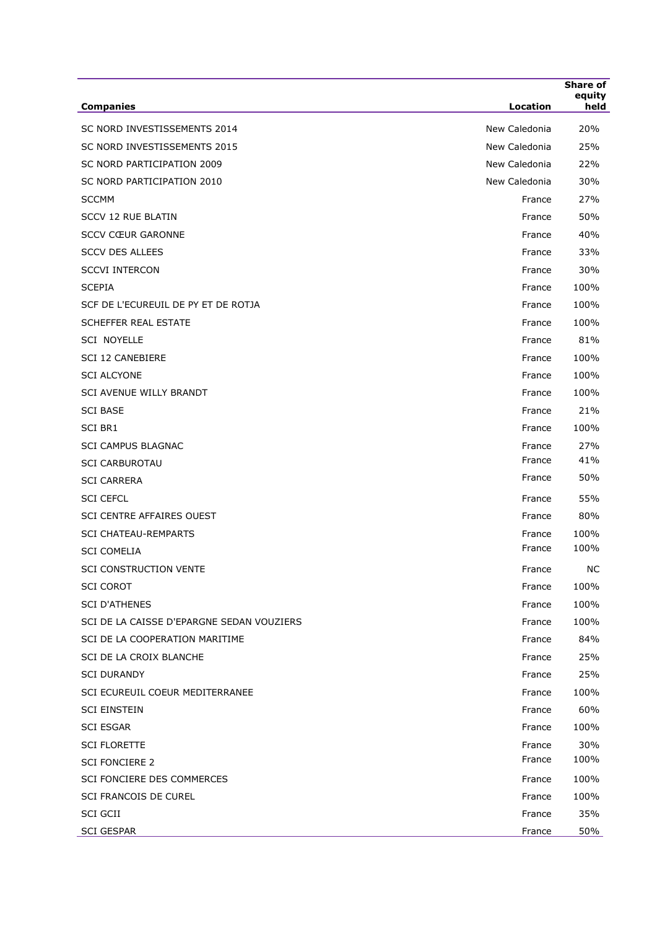| <b>Companies</b>                          | Location      | Share of<br>equity<br>held |
|-------------------------------------------|---------------|----------------------------|
| SC NORD INVESTISSEMENTS 2014              | New Caledonia | 20%                        |
| SC NORD INVESTISSEMENTS 2015              | New Caledonia | 25%                        |
| SC NORD PARTICIPATION 2009                | New Caledonia | 22%                        |
| SC NORD PARTICIPATION 2010                | New Caledonia | 30%                        |
| <b>SCCMM</b>                              | France        | 27%                        |
| <b>SCCV 12 RUE BLATIN</b>                 | France        | 50%                        |
| <b>SCCV CŒUR GARONNE</b>                  | France        | 40%                        |
| <b>SCCV DES ALLEES</b>                    | France        | 33%                        |
| <b>SCCVI INTERCON</b>                     | France        | 30%                        |
| <b>SCEPIA</b>                             | France        | 100%                       |
| SCF DE L'ECUREUIL DE PY ET DE ROTJA       | France        | 100%                       |
| SCHEFFER REAL ESTATE                      | France        | 100%                       |
| <b>SCI NOYELLE</b>                        | France        | 81%                        |
| <b>SCI 12 CANEBIERE</b>                   | France        | 100%                       |
| <b>SCI ALCYONE</b>                        | France        | 100%                       |
| SCI AVENUE WILLY BRANDT                   | France        | 100%                       |
| <b>SCI BASE</b>                           | France        | 21%                        |
| SCI BR1                                   | France        | 100%                       |
| <b>SCI CAMPUS BLAGNAC</b>                 | France        | 27%                        |
| <b>SCI CARBUROTAU</b>                     | France        | 41%                        |
| <b>SCI CARRERA</b>                        | France        | 50%                        |
| <b>SCI CEFCL</b>                          | France        | 55%                        |
| <b>SCI CENTRE AFFAIRES OUEST</b>          | France        | 80%                        |
| <b>SCI CHATEAU-REMPARTS</b>               | France        | 100%                       |
| <b>SCI COMELIA</b>                        | France        | 100%                       |
| SCI CONSTRUCTION VENTE                    | France        | <b>NC</b>                  |
| <b>SCI COROT</b>                          | France        | 100%                       |
| <b>SCI D'ATHENES</b>                      | France        | 100%                       |
| SCI DE LA CAISSE D'EPARGNE SEDAN VOUZIERS | France        | 100%                       |
| SCI DE LA COOPERATION MARITIME            | France        | 84%                        |
| SCI DE LA CROIX BLANCHE                   | France        | 25%                        |
| <b>SCI DURANDY</b>                        | France        | 25%                        |
| SCI ECUREUIL COEUR MEDITERRANEE           | France        | 100%                       |
| <b>SCI EINSTEIN</b>                       | France        | 60%                        |
| <b>SCI ESGAR</b>                          | France        | 100%                       |
| <b>SCI FLORETTE</b>                       | France        | 30%                        |
| <b>SCI FONCIERE 2</b>                     | France        | 100%                       |
| SCI FONCIERE DES COMMERCES                | France        | 100%                       |
| SCI FRANCOIS DE CUREL                     | France        | 100%                       |
| SCI GCII                                  | France        | 35%                        |
| <b>SCI GESPAR</b>                         | France        | 50%                        |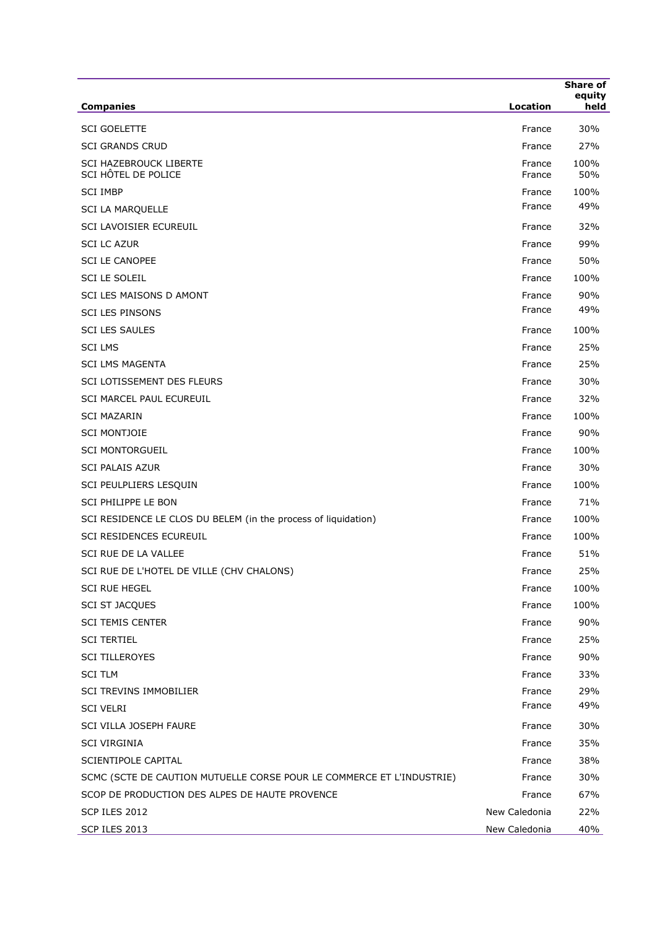| <b>Companies</b>                                                      | Location         | Share of<br>equity<br>held |
|-----------------------------------------------------------------------|------------------|----------------------------|
| <b>SCI GOELETTE</b>                                                   | France           | 30%                        |
| <b>SCI GRANDS CRUD</b>                                                | France           | 27%                        |
| <b>SCI HAZEBROUCK LIBERTE</b><br>SCI HÔTEL DE POLICE                  | France<br>France | 100%<br>50%                |
| <b>SCI IMBP</b>                                                       | France           | 100%                       |
| <b>SCI LA MARQUELLE</b>                                               | France           | 49%                        |
| SCI LAVOISIER ECUREUIL                                                | France           | 32%                        |
| <b>SCI LC AZUR</b>                                                    | France           | 99%                        |
| <b>SCI LE CANOPEE</b>                                                 | France           | 50%                        |
| <b>SCI LE SOLEIL</b>                                                  | France           | 100%                       |
| SCI LES MAISONS D AMONT                                               | France           | 90%                        |
| <b>SCI LES PINSONS</b>                                                | France           | 49%                        |
| <b>SCI LES SAULES</b>                                                 | France           | 100%                       |
| <b>SCI LMS</b>                                                        | France           | 25%                        |
| <b>SCI LMS MAGENTA</b>                                                | France           | 25%                        |
| SCI LOTISSEMENT DES FLEURS                                            | France           | 30%                        |
| <b>SCI MARCEL PAUL ECUREUIL</b>                                       | France           | 32%                        |
| <b>SCI MAZARIN</b>                                                    | France           | 100%                       |
| <b>SCI MONTJOIE</b>                                                   | France           | 90%                        |
| <b>SCI MONTORGUEIL</b>                                                | France           | 100%                       |
| <b>SCI PALAIS AZUR</b>                                                | France           | 30%                        |
| SCI PEULPLIERS LESQUIN                                                | France           | 100%                       |
| SCI PHILIPPE LE BON                                                   | France           | 71%                        |
| SCI RESIDENCE LE CLOS DU BELEM (in the process of liquidation)        | France           | 100%                       |
| <b>SCI RESIDENCES ECUREUIL</b>                                        | France           | 100%                       |
| SCI RUE DE LA VALLEE                                                  | France           | 51%                        |
| SCI RUE DE L'HOTEL DE VILLE (CHV CHALONS)                             | France           | 25%                        |
| <b>SCI RUE HEGEL</b>                                                  | France           | 100%                       |
| <b>SCI ST JACQUES</b>                                                 | France           | 100%                       |
| <b>SCI TEMIS CENTER</b>                                               | France           | 90%                        |
| <b>SCI TERTIEL</b>                                                    | France           | 25%                        |
| <b>SCI TILLEROYES</b>                                                 | France           | 90%                        |
| <b>SCI TLM</b>                                                        | France           | 33%                        |
| SCI TREVINS IMMOBILIER                                                | France           | 29%                        |
| <b>SCI VELRI</b>                                                      | France           | 49%                        |
| SCI VILLA JOSEPH FAURE                                                | France           | 30%                        |
| <b>SCI VIRGINIA</b>                                                   | France           | 35%                        |
| SCIENTIPOLE CAPITAL                                                   | France           | 38%                        |
| SCMC (SCTE DE CAUTION MUTUELLE CORSE POUR LE COMMERCE ET L'INDUSTRIE) | France           | 30%                        |
| SCOP DE PRODUCTION DES ALPES DE HAUTE PROVENCE                        | France           | 67%                        |
| SCP ILES 2012                                                         | New Caledonia    | 22%                        |
| SCP ILES 2013                                                         | New Caledonia    | 40%                        |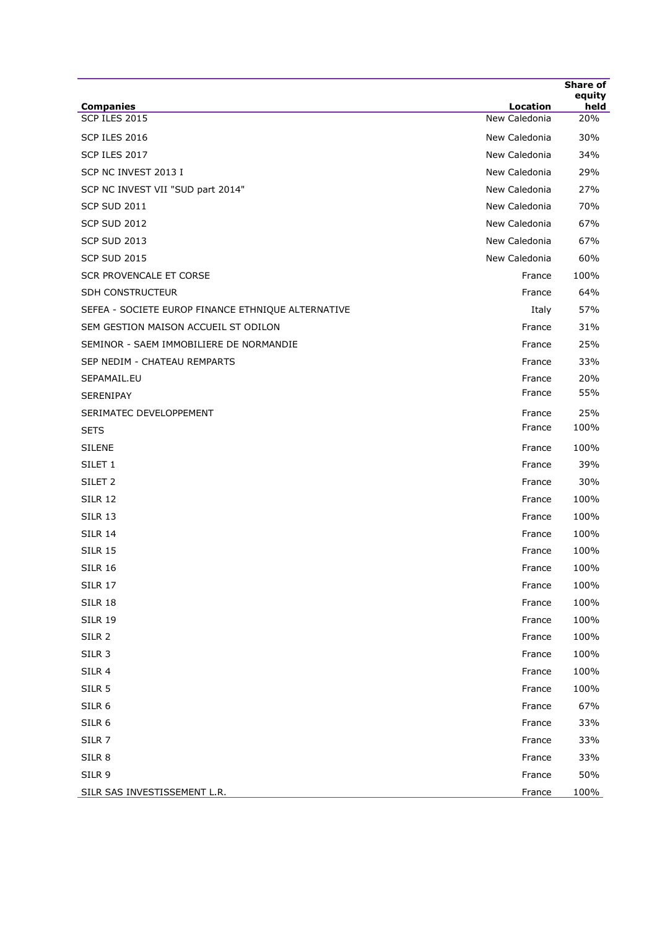|                                                    |                                  | <b>Share of</b><br>equity |
|----------------------------------------------------|----------------------------------|---------------------------|
| <b>Companies</b><br><b>SCP ILES 2015</b>           | <b>Location</b><br>New Caledonia | held<br>20%               |
|                                                    |                                  |                           |
| SCP ILES 2016                                      | New Caledonia                    | 30%                       |
| SCP ILES 2017                                      | New Caledonia                    | 34%                       |
| SCP NC INVEST 2013 I                               | New Caledonia                    | 29%                       |
| SCP NC INVEST VII "SUD part 2014"                  | New Caledonia                    | 27%                       |
| <b>SCP SUD 2011</b>                                | New Caledonia                    | 70%                       |
| <b>SCP SUD 2012</b>                                | New Caledonia                    | 67%                       |
| <b>SCP SUD 2013</b>                                | New Caledonia                    | 67%                       |
| <b>SCP SUD 2015</b>                                | New Caledonia                    | 60%                       |
| <b>SCR PROVENCALE ET CORSE</b>                     | France                           | 100%                      |
| SDH CONSTRUCTEUR                                   | France                           | 64%                       |
| SEFEA - SOCIETE EUROP FINANCE ETHNIQUE ALTERNATIVE | Italy                            | 57%                       |
| SEM GESTION MAISON ACCUEIL ST ODILON               | France                           | 31%                       |
| SEMINOR - SAEM IMMOBILIERE DE NORMANDIE            | France                           | 25%                       |
| SEP NEDIM - CHATEAU REMPARTS                       | France                           | 33%                       |
| SEPAMAIL.EU                                        | France                           | 20%                       |
| SERENIPAY                                          | France                           | 55%                       |
| SERIMATEC DEVELOPPEMENT                            | France                           | 25%                       |
| <b>SETS</b>                                        | France                           | 100%                      |
| <b>SILENE</b>                                      | France                           | 100%                      |
| SILET <sub>1</sub>                                 | France                           | 39%                       |
| SILET <sub>2</sub>                                 | France                           | 30%                       |
| <b>SILR 12</b>                                     | France                           | 100%                      |
| <b>SILR 13</b>                                     | France                           | 100%                      |
| <b>SILR 14</b>                                     | France                           | 100%                      |
| <b>SILR 15</b>                                     | France                           | 100%                      |
| <b>SILR 16</b>                                     | France                           | 100%                      |
| <b>SILR 17</b>                                     | France                           | 100%                      |
| <b>SILR 18</b>                                     | France                           | 100%                      |
| <b>SILR 19</b>                                     | France                           | 100%                      |
| SILR 2                                             | France                           | 100%                      |
| SILR 3                                             | France                           | 100%                      |
|                                                    |                                  | 100%                      |
| SILR 4                                             | France                           |                           |
| SILR <sub>5</sub>                                  | France                           | 100%                      |
| SILR 6                                             | France                           | 67%                       |
| SILR 6                                             | France                           | 33%                       |
| SILR <sub>7</sub>                                  | France                           | 33%                       |
| SILR 8                                             | France                           | 33%                       |
| SILR 9                                             | France                           | 50%                       |
| SILR SAS INVESTISSEMENT L.R.                       | France                           | 100%                      |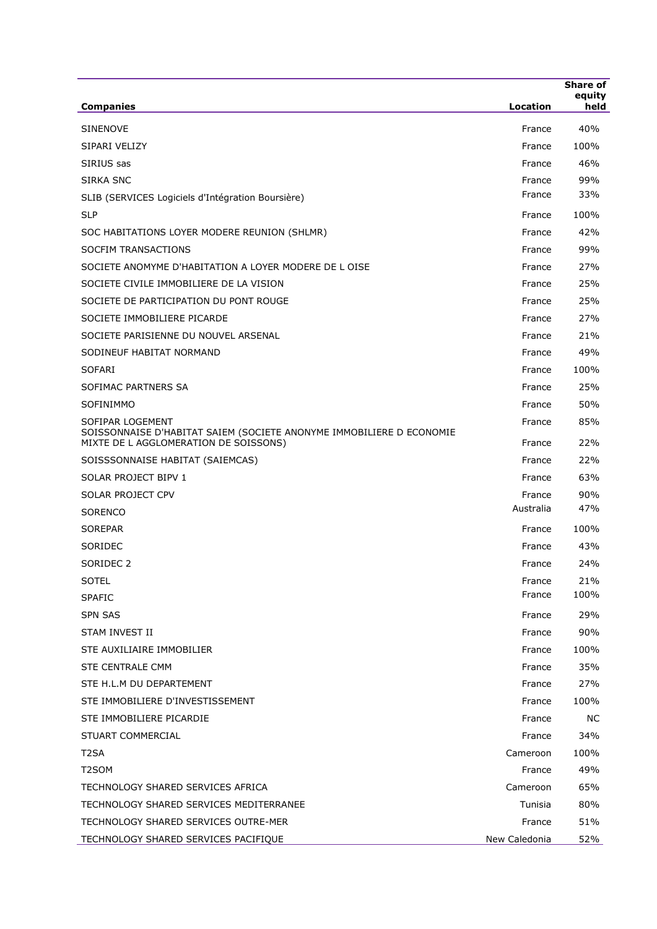| <b>Companies</b>                                                                                                                  | Location            | <b>Share of</b><br>equity<br>held |
|-----------------------------------------------------------------------------------------------------------------------------------|---------------------|-----------------------------------|
|                                                                                                                                   |                     |                                   |
| <b>SINENOVE</b>                                                                                                                   | France              | 40%                               |
| SIPARI VELIZY                                                                                                                     | France              | 100%                              |
| SIRIUS sas                                                                                                                        | France              | 46%                               |
| SIRKA SNC                                                                                                                         | France<br>France    | 99%<br>33%                        |
| SLIB (SERVICES Logiciels d'Intégration Boursière)                                                                                 |                     |                                   |
| <b>SLP</b>                                                                                                                        | France              | 100%                              |
| SOC HABITATIONS LOYER MODERE REUNION (SHLMR)                                                                                      | France              | 42%                               |
| SOCFIM TRANSACTIONS                                                                                                               | France              | 99%                               |
| SOCIETE ANOMYME D'HABITATION A LOYER MODERE DE L OISE                                                                             | France              | 27%                               |
| SOCIETE CIVILE IMMOBILIERE DE LA VISION                                                                                           | France              | 25%                               |
| SOCIETE DE PARTICIPATION DU PONT ROUGE                                                                                            | France              | 25%                               |
| SOCIETE IMMOBILIERE PICARDE                                                                                                       | France              | 27%                               |
| SOCIETE PARISIENNE DU NOUVEL ARSENAL                                                                                              | France              | 21%                               |
| SODINEUF HABITAT NORMAND                                                                                                          | France              | 49%                               |
| <b>SOFARI</b>                                                                                                                     | France              | 100%                              |
| SOFIMAC PARTNERS SA                                                                                                               | France              | 25%                               |
| SOFINIMMO                                                                                                                         | France              | 50%                               |
| SOFIPAR LOGEMENT<br>SOISSONNAISE D'HABITAT SAIEM (SOCIETE ANONYME IMMOBILIERE D ECONOMIE<br>MIXTE DE L AGGLOMERATION DE SOISSONS) | France<br>France    | 85%<br>22%                        |
| SOISSSONNAISE HABITAT (SAIEMCAS)                                                                                                  | France              | 22%                               |
| SOLAR PROJECT BIPV 1                                                                                                              |                     | 63%                               |
| SOLAR PROJECT CPV                                                                                                                 | France              | 90%                               |
|                                                                                                                                   | France<br>Australia | 47%                               |
| <b>SORENCO</b>                                                                                                                    |                     |                                   |
| <b>SOREPAR</b>                                                                                                                    | France              | 100%                              |
| SORIDEC                                                                                                                           | France              | 43%                               |
| SORIDEC <sub>2</sub>                                                                                                              | France              | 24%                               |
| <b>SOTEL</b>                                                                                                                      | France<br>France    | 21%<br>100%                       |
| <b>SPAFIC</b>                                                                                                                     |                     |                                   |
| <b>SPN SAS</b>                                                                                                                    | France              | 29%                               |
| STAM INVEST II                                                                                                                    | France              | 90%                               |
| STE AUXILIAIRE IMMOBILIER                                                                                                         | France              | 100%                              |
| <b>STE CENTRALE CMM</b>                                                                                                           | France              | 35%                               |
| STE H.L.M DU DEPARTEMENT                                                                                                          | France              | 27%                               |
| STE IMMOBILIERE D'INVESTISSEMENT                                                                                                  | France              | 100%                              |
| STE IMMOBILIERE PICARDIE                                                                                                          | France              | <b>NC</b>                         |
| STUART COMMERCIAL                                                                                                                 | France              | 34%                               |
| T2SA                                                                                                                              | Cameroon            | 100%                              |
| T2SOM                                                                                                                             | France              | 49%                               |
| TECHNOLOGY SHARED SERVICES AFRICA                                                                                                 | Cameroon            | 65%                               |
| TECHNOLOGY SHARED SERVICES MEDITERRANEE                                                                                           | Tunisia             | 80%                               |
| TECHNOLOGY SHARED SERVICES OUTRE-MER                                                                                              | France              | 51%                               |
| TECHNOLOGY SHARED SERVICES PACIFIQUE                                                                                              | New Caledonia       | 52%                               |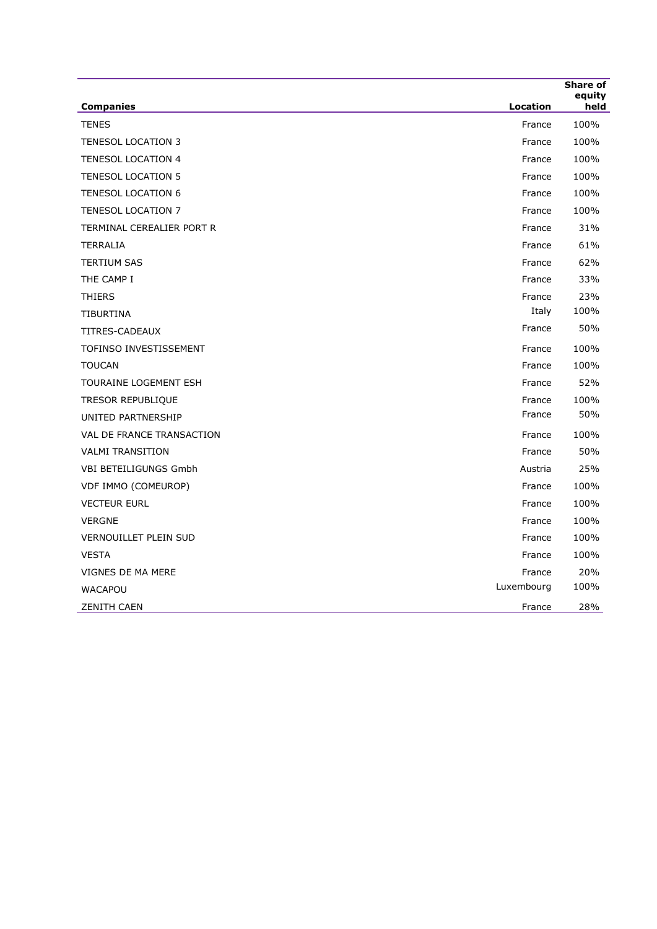|                              |            | Share of       |
|------------------------------|------------|----------------|
| <b>Companies</b>             | Location   | equity<br>held |
| <b>TENES</b>                 | France     | 100%           |
| <b>TENESOL LOCATION 3</b>    | France     | 100%           |
| <b>TENESOL LOCATION 4</b>    | France     | 100%           |
| <b>TENESOL LOCATION 5</b>    | France     | 100%           |
| <b>TENESOL LOCATION 6</b>    | France     | 100%           |
| <b>TENESOL LOCATION 7</b>    | France     | 100%           |
| TERMINAL CEREALIER PORT R    | France     | 31%            |
| <b>TERRALIA</b>              | France     | 61%            |
| <b>TERTIUM SAS</b>           | France     | 62%            |
| THE CAMP I                   | France     | 33%            |
| <b>THIERS</b>                | France     | 23%            |
| <b>TIBURTINA</b>             | Italy      | 100%           |
| TITRES-CADEAUX               | France     | 50%            |
| TOFINSO INVESTISSEMENT       | France     | 100%           |
| <b>TOUCAN</b>                | France     | 100%           |
| <b>TOURAINE LOGEMENT ESH</b> | France     | 52%            |
| <b>TRESOR REPUBLIQUE</b>     | France     | 100%           |
| UNITED PARTNERSHIP           | France     | 50%            |
| VAL DE FRANCE TRANSACTION    | France     | 100%           |
| <b>VALMI TRANSITION</b>      | France     | 50%            |
| VBI BETEILIGUNGS Gmbh        | Austria    | 25%            |
| VDF IMMO (COMEUROP)          | France     | 100%           |
| <b>VECTEUR EURL</b>          | France     | 100%           |
| <b>VERGNE</b>                | France     | 100%           |
| VERNOUILLET PLEIN SUD        | France     | 100%           |
| <b>VESTA</b>                 | France     | 100%           |
| VIGNES DE MA MERE            | France     | 20%            |
| <b>WACAPOU</b>               | Luxembourg | 100%           |
| <b>ZENITH CAEN</b>           | France     | 28%            |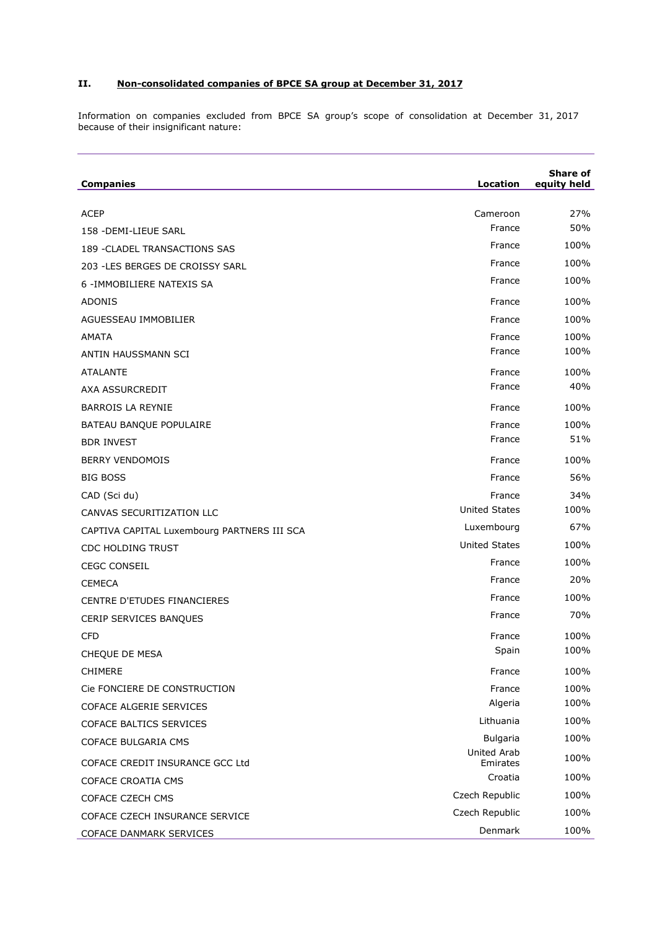## **II. Non-consolidated companies of BPCE SA group at December 31, 2017**

Information on companies excluded from BPCE SA group's scope of consolidation at December 31, 2017 because of their insignificant nature:

| <b>Companies</b>                            | Location                | Share of<br>equity held |
|---------------------------------------------|-------------------------|-------------------------|
| <b>ACEP</b>                                 | Cameroon                | 27%                     |
| 158 - DEMI-LIEUE SARL                       | France                  | 50%                     |
| 189 - CLADEL TRANSACTIONS SAS               | France                  | 100%                    |
| 203 - LES BERGES DE CROISSY SARL            | France                  | 100%                    |
| 6 - IMMOBILIERE NATEXIS SA                  | France                  | 100%                    |
| <b>ADONIS</b>                               | France                  | 100%                    |
| AGUESSEAU IMMOBILIER                        | France                  | 100%                    |
| AMATA                                       | France                  | 100%                    |
| ANTIN HAUSSMANN SCI                         | France                  | 100%                    |
| <b>ATALANTE</b>                             | France                  | 100%                    |
| AXA ASSURCREDIT                             | France                  | 40%                     |
| BARROIS LA REYNIE                           | France                  | 100%                    |
| BATEAU BANQUE POPULAIRE                     | France                  | 100%                    |
| <b>BDR INVEST</b>                           | France                  | 51%                     |
| <b>BERRY VENDOMOIS</b>                      | France                  | 100%                    |
| <b>BIG BOSS</b>                             | France                  | 56%                     |
| CAD (Sci du)                                | France                  | 34%                     |
| CANVAS SECURITIZATION LLC                   | <b>United States</b>    | 100%                    |
| CAPTIVA CAPITAL Luxembourg PARTNERS III SCA | Luxembourg              | 67%                     |
| <b>CDC HOLDING TRUST</b>                    | <b>United States</b>    | 100%                    |
| <b>CEGC CONSEIL</b>                         | France                  | 100%                    |
| <b>CEMECA</b>                               | France                  | 20%                     |
| CENTRE D'ETUDES FINANCIERES                 | France                  | 100%                    |
| CERIP SERVICES BANQUES                      | France                  | 70%                     |
| <b>CFD</b>                                  | France                  | 100%                    |
| CHEQUE DE MESA                              | Spain                   | 100%                    |
| <b>CHIMERE</b>                              | France                  | 100%                    |
| Cie FONCIERE DE CONSTRUCTION                | France                  | 100%                    |
| COFACE ALGERIE SERVICES                     | Algeria                 | 100%                    |
| <b>COFACE BALTICS SERVICES</b>              | Lithuania               | 100%                    |
| <b>COFACE BULGARIA CMS</b>                  | <b>Bulgaria</b>         | 100%                    |
| COFACE CREDIT INSURANCE GCC Ltd             | United Arab<br>Emirates | 100%                    |
| COFACE CROATIA CMS                          | Croatia                 | 100%                    |
| COFACE CZECH CMS                            | Czech Republic          | 100%                    |
| COFACE CZECH INSURANCE SERVICE              | Czech Republic          | 100%                    |
| COFACE DANMARK SERVICES                     | Denmark                 | 100%                    |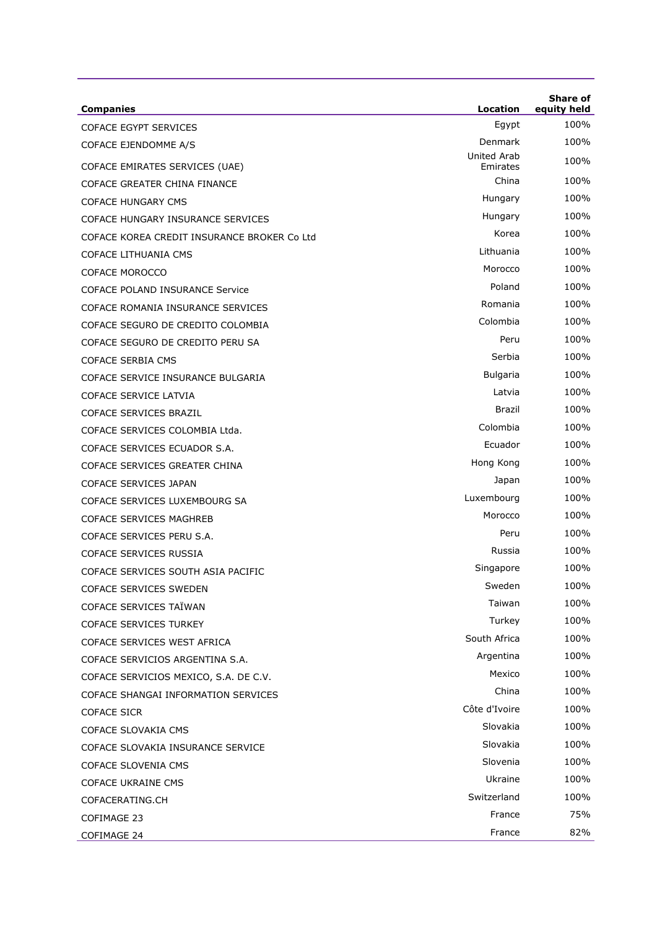| <b>Companies</b>                            | Location                | <b>Share of</b><br>equity held |
|---------------------------------------------|-------------------------|--------------------------------|
| <b>COFACE EGYPT SERVICES</b>                | Egypt                   | 100%                           |
| COFACE EJENDOMME A/S                        | Denmark                 | 100%                           |
| COFACE EMIRATES SERVICES (UAE)              | United Arab<br>Emirates | 100%                           |
| COFACE GREATER CHINA FINANCE                | China                   | 100%                           |
| <b>COFACE HUNGARY CMS</b>                   | Hungary                 | 100%                           |
| COFACE HUNGARY INSURANCE SERVICES           | Hungary                 | 100%                           |
| COFACE KOREA CREDIT INSURANCE BROKER Co Ltd | Korea                   | 100%                           |
| COFACE LITHUANIA CMS                        | Lithuania               | 100%                           |
| <b>COFACE MOROCCO</b>                       | Morocco                 | 100%                           |
| <b>COFACE POLAND INSURANCE Service</b>      | Poland                  | 100%                           |
| COFACE ROMANIA INSURANCE SERVICES           | Romania                 | 100%                           |
| COFACE SEGURO DE CREDITO COLOMBIA           | Colombia                | 100%                           |
| COFACE SEGURO DE CREDITO PERU SA            | Peru                    | 100%                           |
| <b>COFACE SERBIA CMS</b>                    | Serbia                  | 100%                           |
| COFACE SERVICE INSURANCE BULGARIA           | Bulgaria                | 100%                           |
| COFACE SERVICE LATVIA                       | Latvia                  | 100%                           |
| COFACE SERVICES BRAZIL                      | Brazil                  | 100%                           |
| COFACE SERVICES COLOMBIA Ltda.              | Colombia                | 100%                           |
| COFACE SERVICES ECUADOR S.A.                | Ecuador                 | 100%                           |
| COFACE SERVICES GREATER CHINA               | Hong Kong               | 100%                           |
| COFACE SERVICES JAPAN                       | Japan                   | 100%                           |
| COFACE SERVICES LUXEMBOURG SA               | Luxembourg              | 100%                           |
| COFACE SERVICES MAGHREB                     | Morocco                 | 100%                           |
| COFACE SERVICES PERU S.A.                   | Peru                    | 100%                           |
| COFACE SERVICES RUSSIA                      | Russia                  | 100%                           |
| COFACE SERVICES SOUTH ASIA PACIFIC          | Singapore               | 100%                           |
| <b>COFACE SERVICES SWEDEN</b>               | Sweden                  | 100%                           |
| COFACE SERVICES TAÏWAN                      | Taiwan                  | 100%                           |
| <b>COFACE SERVICES TURKEY</b>               | Turkey                  | 100%                           |
| COFACE SERVICES WEST AFRICA                 | South Africa            | 100%                           |
| COFACE SERVICIOS ARGENTINA S.A.             | Argentina               | 100%                           |
| COFACE SERVICIOS MEXICO, S.A. DE C.V.       | Mexico                  | 100%                           |
| COFACE SHANGAI INFORMATION SERVICES         | China                   | 100%                           |
| <b>COFACE SICR</b>                          | Côte d'Ivoire           | 100%                           |
| COFACE SLOVAKIA CMS                         | Slovakia                | 100%                           |
| COFACE SLOVAKIA INSURANCE SERVICE           | Slovakia                | 100%                           |
| COFACE SLOVENIA CMS                         | Slovenia                | 100%                           |
| COFACE UKRAINE CMS                          | Ukraine                 | 100%                           |
| COFACERATING.CH                             | Switzerland             | 100%                           |
| COFIMAGE 23                                 | France                  | 75%                            |
| COFIMAGE 24                                 | France                  | 82%                            |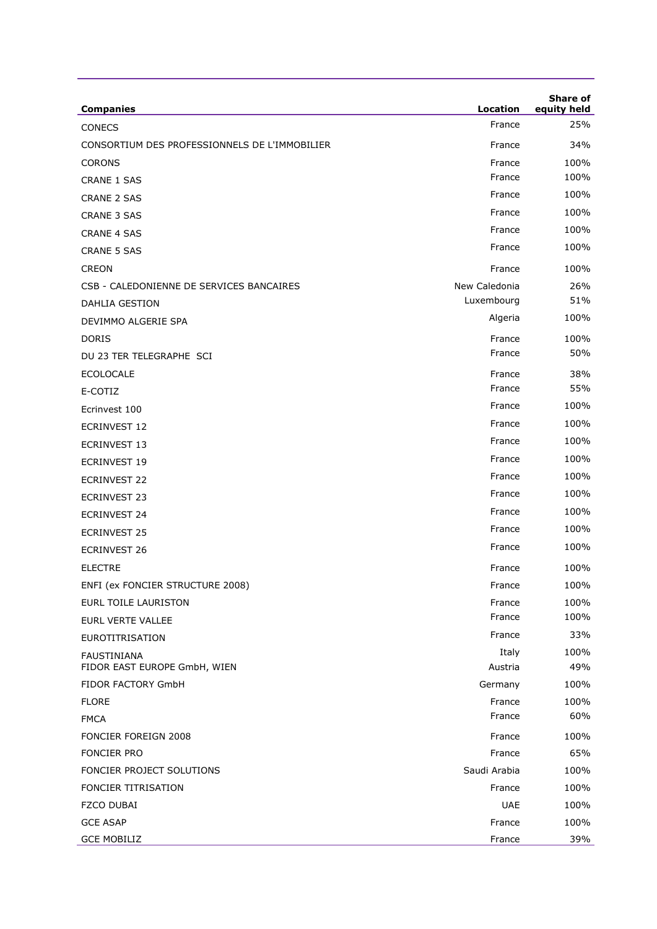| <b>Companies</b>                                   | Location         | <b>Share of</b><br>equity held |
|----------------------------------------------------|------------------|--------------------------------|
| CONECS                                             | France           | 25%                            |
| CONSORTIUM DES PROFESSIONNELS DE L'IMMOBILIER      | France           | 34%                            |
| <b>CORONS</b>                                      | France           | 100%                           |
| <b>CRANE 1 SAS</b>                                 | France           | 100%                           |
| <b>CRANE 2 SAS</b>                                 | France           | 100%                           |
| <b>CRANE 3 SAS</b>                                 | France           | 100%                           |
| <b>CRANE 4 SAS</b>                                 | France           | 100%                           |
| <b>CRANE 5 SAS</b>                                 | France           | 100%                           |
| <b>CREON</b>                                       | France           | 100%                           |
| CSB - CALEDONIENNE DE SERVICES BANCAIRES           | New Caledonia    | 26%                            |
| DAHLIA GESTION                                     | Luxembourg       | 51%                            |
| DEVIMMO ALGERIE SPA                                | Algeria          | 100%                           |
| <b>DORIS</b>                                       | France           | 100%                           |
| DU 23 TER TELEGRAPHE SCI                           | France           | 50%                            |
| <b>ECOLOCALE</b>                                   | France           | 38%                            |
| E-COTIZ                                            | France           | 55%                            |
| Ecrinvest 100                                      | France           | 100%                           |
| <b>ECRINVEST 12</b>                                | France           | 100%                           |
| <b>ECRINVEST 13</b>                                | France           | 100%                           |
| <b>ECRINVEST 19</b>                                | France           | 100%                           |
| <b>ECRINVEST 22</b>                                | France           | 100%                           |
| <b>ECRINVEST 23</b>                                | France           | 100%                           |
| ECRINVEST 24                                       | France           | 100%                           |
| <b>ECRINVEST 25</b>                                | France           | 100%                           |
| <b>ECRINVEST 26</b>                                | France           | 100%                           |
| <b>ELECTRE</b>                                     | France           | 100%                           |
| ENFI (ex FONCIER STRUCTURE 2008)                   | France           | 100%                           |
| <b>EURL TOILE LAURISTON</b>                        | France           | 100%                           |
| EURL VERTE VALLEE                                  | France           | 100%                           |
| <b>EUROTITRISATION</b>                             | France           | 33%                            |
| <b>FAUSTINIANA</b><br>FIDOR EAST EUROPE GmbH, WIEN | Italy<br>Austria | 100%<br>49%                    |
| FIDOR FACTORY GmbH                                 | Germany          | 100%                           |
| <b>FLORE</b>                                       | France           | 100%                           |
| <b>FMCA</b>                                        | France           | 60%                            |
| <b>FONCIER FOREIGN 2008</b>                        | France           | 100%                           |
| <b>FONCIER PRO</b>                                 | France           | 65%                            |
| FONCIER PROJECT SOLUTIONS                          | Saudi Arabia     | 100%                           |
| FONCIER TITRISATION                                | France           | 100%                           |
| <b>FZCO DUBAI</b>                                  | <b>UAE</b>       | 100%                           |
| <b>GCE ASAP</b>                                    | France           | 100%                           |
| <b>GCE MOBILIZ</b>                                 | France           | 39%                            |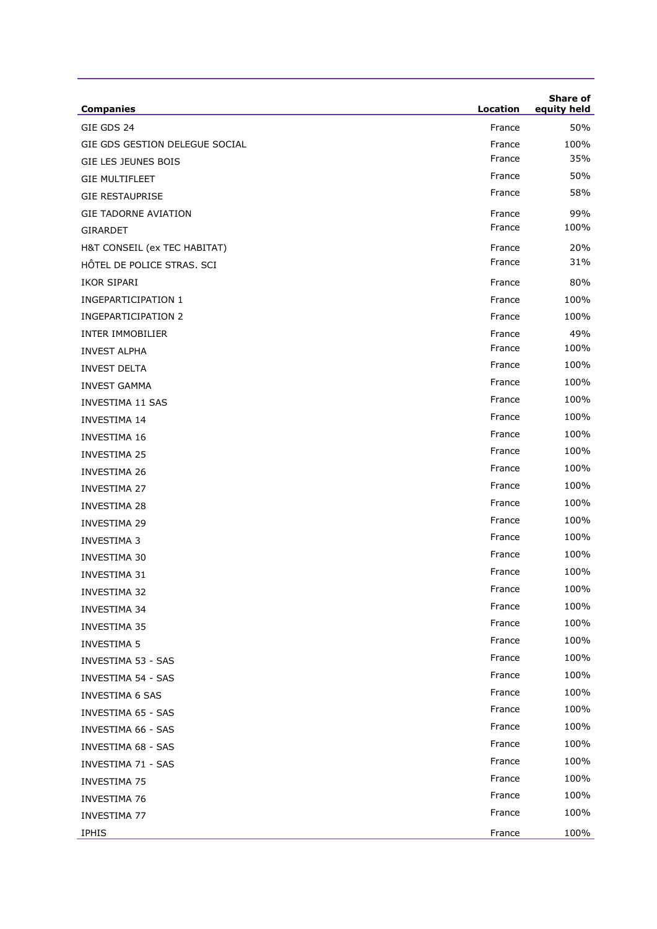| <b>Companies</b>               | Location | <b>Share of</b><br>equity held |
|--------------------------------|----------|--------------------------------|
| GIE GDS 24                     | France   | 50%                            |
| GIE GDS GESTION DELEGUE SOCIAL | France   | 100%                           |
| <b>GIE LES JEUNES BOIS</b>     | France   | 35%                            |
| <b>GIE MULTIFLEET</b>          | France   | 50%                            |
| <b>GIE RESTAUPRISE</b>         | France   | 58%                            |
| <b>GIE TADORNE AVIATION</b>    | France   | 99%                            |
| <b>GIRARDET</b>                | France   | 100%                           |
| H&T CONSEIL (ex TEC HABITAT)   | France   | 20%                            |
| HÔTEL DE POLICE STRAS. SCI     | France   | 31%                            |
| IKOR SIPARI                    | France   | 80%                            |
| <b>INGEPARTICIPATION 1</b>     | France   | 100%                           |
| <b>INGEPARTICIPATION 2</b>     | France   | 100%                           |
| <b>INTER IMMOBILIER</b>        | France   | 49%                            |
| <b>INVEST ALPHA</b>            | France   | 100%                           |
| <b>INVEST DELTA</b>            | France   | 100%                           |
| <b>INVEST GAMMA</b>            | France   | 100%                           |
| <b>INVESTIMA 11 SAS</b>        | France   | 100%                           |
| <b>INVESTIMA 14</b>            | France   | 100%                           |
| INVESTIMA 16                   | France   | 100%                           |
| <b>INVESTIMA 25</b>            | France   | 100%                           |
| <b>INVESTIMA 26</b>            | France   | 100%                           |
| <b>INVESTIMA 27</b>            | France   | 100%                           |
| <b>INVESTIMA 28</b>            | France   | 100%                           |
| <b>INVESTIMA 29</b>            | France   | 100%                           |
| <b>INVESTIMA 3</b>             | France   | 100%                           |
| <b>INVESTIMA 30</b>            | France   | 100%                           |
| <b>INVESTIMA 31</b>            | France   | 100%                           |
| <b>INVESTIMA 32</b>            | France   | 100%                           |
| <b>INVESTIMA 34</b>            | France   | 100%                           |
| <b>INVESTIMA 35</b>            | France   | 100%                           |
| <b>INVESTIMA 5</b>             | France   | 100%                           |
| INVESTIMA 53 - SAS             | France   | 100%                           |
| INVESTIMA 54 - SAS             | France   | 100%                           |
| <b>INVESTIMA 6 SAS</b>         | France   | 100%                           |
| <b>INVESTIMA 65 - SAS</b>      | France   | 100%                           |
| <b>INVESTIMA 66 - SAS</b>      | France   | 100%                           |
| <b>INVESTIMA 68 - SAS</b>      | France   | 100%                           |
| INVESTIMA 71 - SAS             | France   | 100%                           |
| <b>INVESTIMA 75</b>            | France   | 100%                           |
| <b>INVESTIMA 76</b>            | France   | 100%                           |
| <b>INVESTIMA 77</b>            | France   | 100%                           |
| <b>IPHIS</b>                   | France   | 100%                           |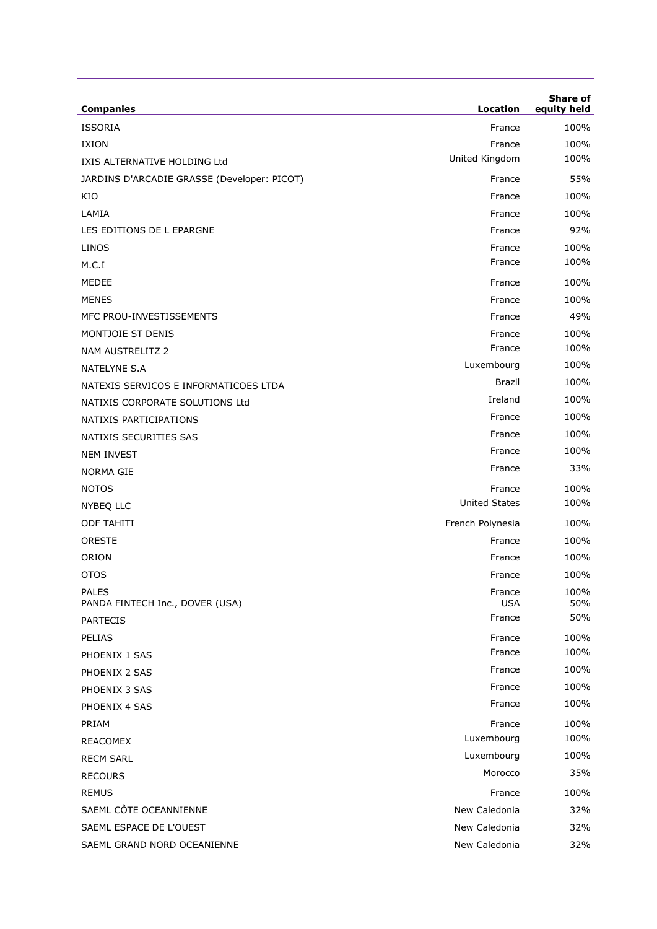| <b>Companies</b>                                | Location             | Share of<br>equity held |
|-------------------------------------------------|----------------------|-------------------------|
| <b>ISSORIA</b>                                  | France               | 100%                    |
| <b>IXION</b>                                    | France               | 100%                    |
| IXIS ALTERNATIVE HOLDING Ltd                    | United Kingdom       | 100%                    |
| JARDINS D'ARCADIE GRASSE (Developer: PICOT)     | France               | 55%                     |
| KIO                                             | France               | 100%                    |
| LAMIA                                           | France               | 100%                    |
| LES EDITIONS DE L EPARGNE                       | France               | 92%                     |
| LINOS                                           | France               | 100%                    |
| M.C.I                                           | France               | 100%                    |
| MEDEE                                           | France               | 100%                    |
| <b>MENES</b>                                    | France               | 100%                    |
| MFC PROU-INVESTISSEMENTS                        | France               | 49%                     |
| MONTJOIE ST DENIS                               | France               | 100%                    |
| NAM AUSTRELITZ 2                                | France               | 100%                    |
| <b>NATELYNE S.A</b>                             | Luxembourg           | 100%                    |
| NATEXIS SERVICOS E INFORMATICOES LTDA           | <b>Brazil</b>        | 100%                    |
| NATIXIS CORPORATE SOLUTIONS Ltd                 | Ireland              | 100%                    |
| NATIXIS PARTICIPATIONS                          | France               | 100%                    |
| NATIXIS SECURITIES SAS                          | France               | 100%                    |
| <b>NEM INVEST</b>                               | France               | 100%                    |
| NORMA GIE                                       | France               | 33%                     |
| <b>NOTOS</b>                                    | France               | 100%                    |
| NYBEQ LLC                                       | <b>United States</b> | 100%                    |
| <b>ODF TAHITI</b>                               | French Polynesia     | 100%                    |
| <b>ORESTE</b>                                   | France               | 100%                    |
| ORION                                           | France               | 100%                    |
| <b>OTOS</b>                                     | France               | 100%                    |
| <b>PALES</b><br>PANDA FINTECH Inc., DOVER (USA) | France<br>USA        | 100%<br>50%             |
| <b>PARTECIS</b>                                 | France               | 50%                     |
| <b>PELIAS</b>                                   | France               | 100%                    |
| PHOENIX 1 SAS                                   | France               | 100%                    |
| PHOENIX 2 SAS                                   | France               | 100%                    |
| PHOENIX 3 SAS                                   | France               | 100%                    |
| PHOENIX 4 SAS                                   | France               | 100%                    |
| PRIAM                                           | France               | 100%                    |
| <b>REACOMEX</b>                                 | Luxembourg           | 100%                    |
| <b>RECM SARL</b>                                | Luxembourg           | 100%                    |
| <b>RECOURS</b>                                  | Morocco              | 35%                     |
| <b>REMUS</b>                                    | France               | 100%                    |
| SAEML CÔTE OCEANNIENNE                          | New Caledonia        | 32%                     |
| SAEML ESPACE DE L'OUEST                         | New Caledonia        | 32%                     |
| SAEML GRAND NORD OCEANIENNE                     | New Caledonia        | 32%                     |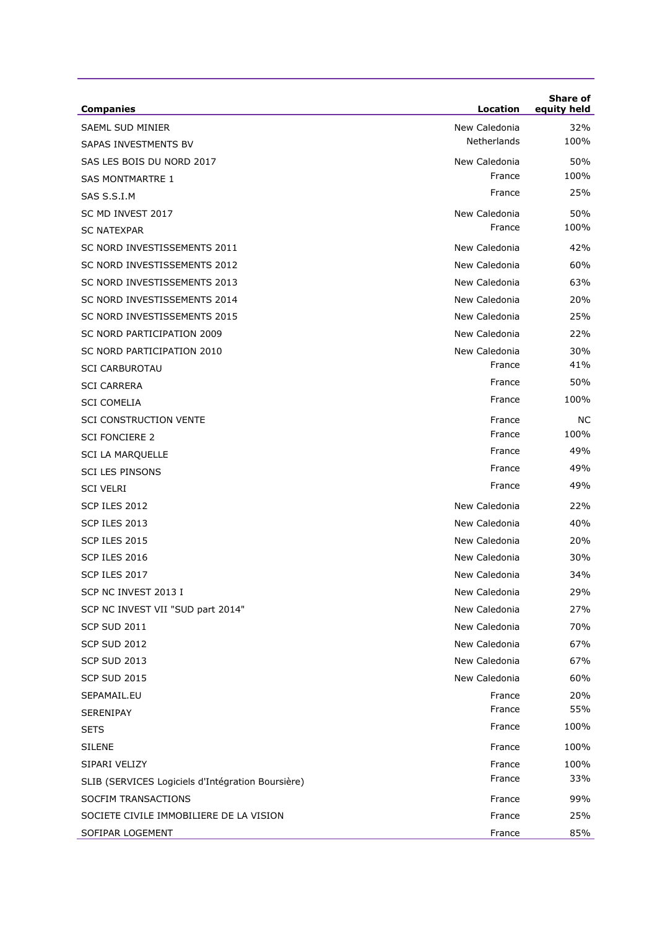| <b>Companies</b>                                  | Location      | <b>Share of</b><br>equity held |
|---------------------------------------------------|---------------|--------------------------------|
| <b>SAEML SUD MINIER</b>                           | New Caledonia | 32%                            |
| <b>SAPAS INVESTMENTS BV</b>                       | Netherlands   | 100%                           |
| SAS LES BOIS DU NORD 2017                         | New Caledonia | 50%                            |
| <b>SAS MONTMARTRE 1</b>                           | France        | 100%                           |
| SAS S.S.I.M                                       | France        | 25%                            |
| SC MD INVEST 2017                                 | New Caledonia | 50%                            |
| <b>SC NATEXPAR</b>                                | France        | 100%                           |
| SC NORD INVESTISSEMENTS 2011                      | New Caledonia | 42%                            |
| SC NORD INVESTISSEMENTS 2012                      | New Caledonia | 60%                            |
| SC NORD INVESTISSEMENTS 2013                      | New Caledonia | 63%                            |
| SC NORD INVESTISSEMENTS 2014                      | New Caledonia | 20%                            |
| SC NORD INVESTISSEMENTS 2015                      | New Caledonia | 25%                            |
| SC NORD PARTICIPATION 2009                        | New Caledonia | 22%                            |
| SC NORD PARTICIPATION 2010                        | New Caledonia | 30%                            |
| <b>SCI CARBUROTAU</b>                             | France        | 41%                            |
| <b>SCI CARRERA</b>                                | France        | 50%                            |
| <b>SCI COMELIA</b>                                | France        | 100%                           |
| <b>SCI CONSTRUCTION VENTE</b>                     | France        | NС                             |
| <b>SCI FONCIERE 2</b>                             | France        | 100%                           |
| <b>SCI LA MARQUELLE</b>                           | France        | 49%                            |
| <b>SCI LES PINSONS</b>                            | France        | 49%                            |
| <b>SCI VELRI</b>                                  | France        | 49%                            |
| SCP ILES 2012                                     | New Caledonia | 22%                            |
| SCP ILES 2013                                     | New Caledonia | 40%                            |
| SCP ILES 2015                                     | New Caledonia | 20%                            |
| SCP ILES 2016                                     | New Caledonia | 30%                            |
| SCP ILES 2017                                     | New Caledonia | 34%                            |
| SCP NC INVEST 2013 I                              | New Caledonia | 29%                            |
| SCP NC INVEST VII "SUD part 2014"                 | New Caledonia | 27%                            |
| <b>SCP SUD 2011</b>                               | New Caledonia | 70%                            |
| <b>SCP SUD 2012</b>                               | New Caledonia | 67%                            |
| <b>SCP SUD 2013</b>                               | New Caledonia | 67%                            |
| <b>SCP SUD 2015</b>                               | New Caledonia | 60%                            |
| SEPAMAIL.EU                                       | France        | 20%                            |
| SERENIPAY                                         | France        | 55%                            |
| <b>SETS</b>                                       | France        | 100%                           |
| <b>SILENE</b>                                     | France        | 100%                           |
| SIPARI VELIZY                                     | France        | 100%                           |
| SLIB (SERVICES Logiciels d'Intégration Boursière) | France        | 33%                            |
| SOCFIM TRANSACTIONS                               | France        | 99%                            |
| SOCIETE CIVILE IMMOBILIERE DE LA VISION           | France        | 25%                            |
| SOFIPAR LOGEMENT                                  | France        | 85%                            |